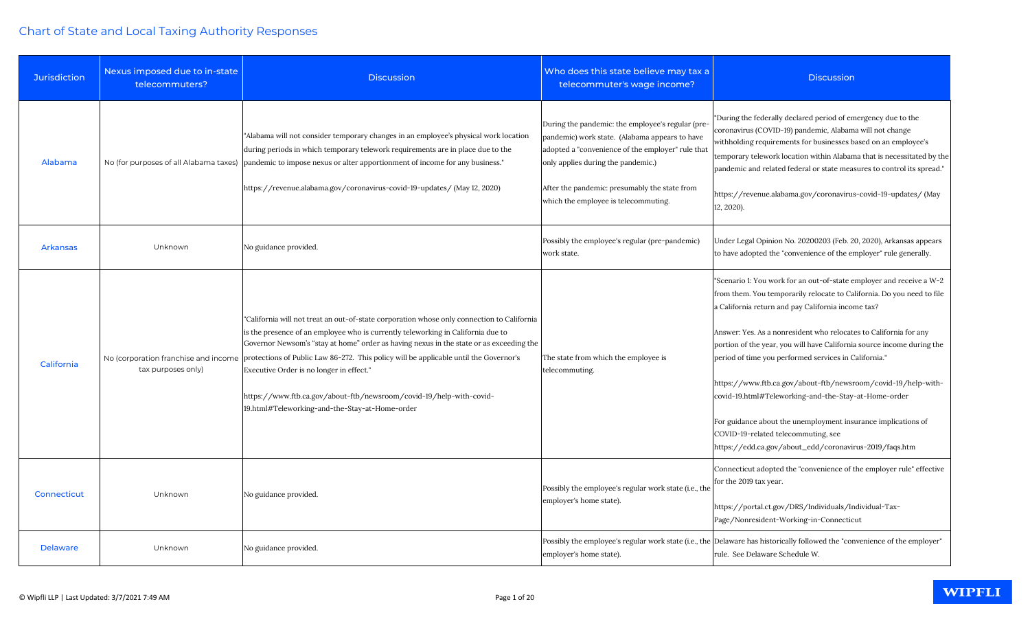| <b>Jurisdiction</b> | Nexus imposed due to in-state<br>telecommuters? | <b>Discussion</b>                                                                                                                                                                                                                                                                                                                                                                                                                                                                                                                                                            | Who does this state believe may tax a<br>telecommuter's wage income?                                                                                                                                                                                                                    | <b>Discussion</b>                                                                                                                                                                                                                                                                                                                                                                                                                                                                                                                                                                                                                                                                                       |
|---------------------|-------------------------------------------------|------------------------------------------------------------------------------------------------------------------------------------------------------------------------------------------------------------------------------------------------------------------------------------------------------------------------------------------------------------------------------------------------------------------------------------------------------------------------------------------------------------------------------------------------------------------------------|-----------------------------------------------------------------------------------------------------------------------------------------------------------------------------------------------------------------------------------------------------------------------------------------|---------------------------------------------------------------------------------------------------------------------------------------------------------------------------------------------------------------------------------------------------------------------------------------------------------------------------------------------------------------------------------------------------------------------------------------------------------------------------------------------------------------------------------------------------------------------------------------------------------------------------------------------------------------------------------------------------------|
| Alabama             |                                                 | "Alabama will not consider temporary changes in an employee's physical work location<br>during periods in which temporary telework requirements are in place due to the<br>No (for purposes of all Alabama taxes) pandemic to impose nexus or alter apportionment of income for any business."<br>https://revenue.alabama.gov/coronavirus-covid-19-updates/ (May 12, 2020)                                                                                                                                                                                                   | During the pandemic: the employee's regular (pre-<br>pandemic) work state. (Alabama appears to have<br>adopted a "convenience of the employer" rule that<br>only applies during the pandemic.)<br>After the pandemic: presumably the state from<br>which the employee is telecommuting. | "During the federally declared period of emergency due to the<br>coronavirus (COVID-19) pandemic, Alabama will not change<br>withholding requirements for businesses based on an employee's<br>temporary telework location within Alabama that is necessitated by the<br>pandemic and related federal or state measures to control its spread."<br>https://revenue.alabama.gov/coronavirus-covid-19-updates/ (May<br>12, 2020).                                                                                                                                                                                                                                                                         |
| <b>Arkansas</b>     | Unknown                                         | No guidance provided.                                                                                                                                                                                                                                                                                                                                                                                                                                                                                                                                                        | Possibly the employee's regular (pre-pandemic)<br>work state.                                                                                                                                                                                                                           | Under Legal Opinion No. 20200203 (Feb. 20, 2020), Arkansas appears<br>to have adopted the "convenience of the employer" rule generally.                                                                                                                                                                                                                                                                                                                                                                                                                                                                                                                                                                 |
| California          | tax purposes only)                              | "California will not treat an out-of-state corporation whose only connection to California<br>is the presence of an employee who is currently teleworking in California due to<br>Governor Newsom's "stay at home" order as having nexus in the state or as exceeding the<br>No (corporation franchise and income protections of Public Law 86-272. This policy will be applicable until the Governor's<br>Executive Order is no longer in effect."<br>https://www.ftb.ca.gov/about-ftb/newsroom/covid-19/help-with-covid-<br>19.html#Teleworking-and-the-Stay-at-Home-order | The state from which the employee is<br>telecommuting.                                                                                                                                                                                                                                  | "Scenario 1: You work for an out-of-state employer and receive a W-2<br>from them. You temporarily relocate to California. Do you need to file<br>a California return and pay California income tax?<br>Answer: Yes. As a nonresident who relocates to California for any<br>portion of the year, you will have California source income during the<br>period of time you performed services in California."<br>https://www.ftb.ca.gov/about-ftb/newsroom/covid-19/help-with-<br>covid-19.html#Teleworking-and-the-Stay-at-Home-order<br>For guidance about the unemployment insurance implications of<br>COVID-19-related telecommuting, see<br>https://edd.ca.gov/about_edd/coronavirus-2019/faqs.htm |
| <b>Connecticut</b>  | Unknown                                         | No guidance provided.                                                                                                                                                                                                                                                                                                                                                                                                                                                                                                                                                        | Possibly the employee's regular work state (i.e., the<br>employer's home state).                                                                                                                                                                                                        | Connecticut adopted the "convenience of the employer rule" effective<br>for the 2019 tax year.<br>https://portal.ct.gov/DRS/Individuals/Individual-Tax-<br>Page/Nonresident-Working-in-Connecticut                                                                                                                                                                                                                                                                                                                                                                                                                                                                                                      |
| <b>Delaware</b>     | Unknown                                         | No guidance provided.                                                                                                                                                                                                                                                                                                                                                                                                                                                                                                                                                        | employer's home state).                                                                                                                                                                                                                                                                 | Possibly the employee's regular work state (i.e., the Delaware has historically followed the "convenience of the employer"<br>rule. See Delaware Schedule W.                                                                                                                                                                                                                                                                                                                                                                                                                                                                                                                                            |

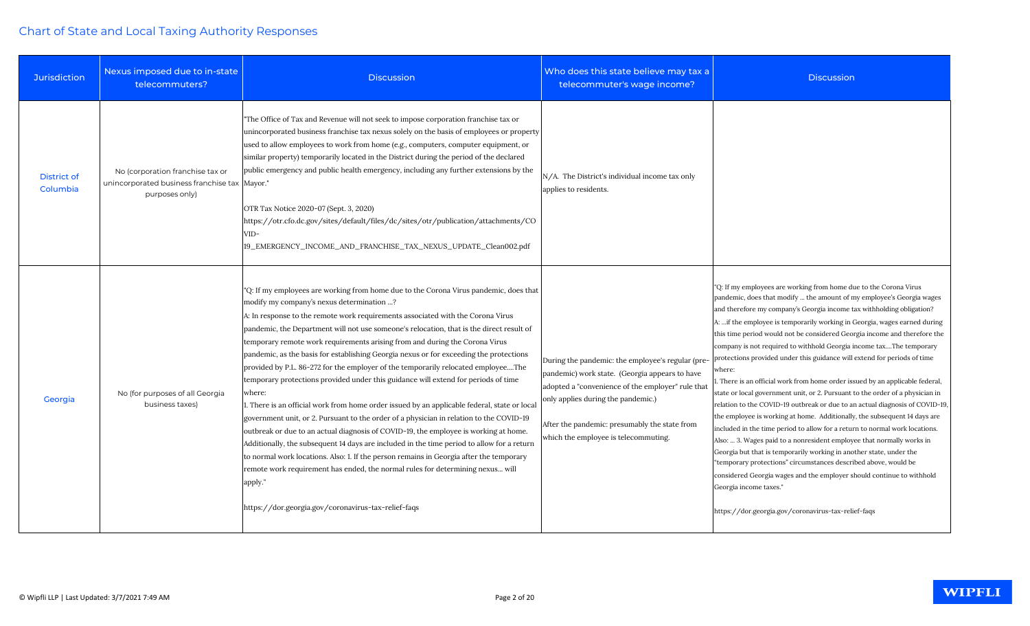| <b>Jurisdiction</b>            | Nexus imposed due to in-state<br>telecommuters?                                                       | <b>Discussion</b>                                                                                                                                                                                                                                                                                                                                                                                                                                                                                                                                                                                                                                                                                                                                                                                                                                                                                                                                                                                                                                                                                                                                                                                                                                                                                               | Who does this state believe may tax a<br>telecommuter's wage income?                                                                                                                                                                                                                    |
|--------------------------------|-------------------------------------------------------------------------------------------------------|-----------------------------------------------------------------------------------------------------------------------------------------------------------------------------------------------------------------------------------------------------------------------------------------------------------------------------------------------------------------------------------------------------------------------------------------------------------------------------------------------------------------------------------------------------------------------------------------------------------------------------------------------------------------------------------------------------------------------------------------------------------------------------------------------------------------------------------------------------------------------------------------------------------------------------------------------------------------------------------------------------------------------------------------------------------------------------------------------------------------------------------------------------------------------------------------------------------------------------------------------------------------------------------------------------------------|-----------------------------------------------------------------------------------------------------------------------------------------------------------------------------------------------------------------------------------------------------------------------------------------|
| <b>District of</b><br>Columbia | No (corporation franchise tax or<br>unincorporated business franchise tax   Mayor."<br>purposes only) | "The Office of Tax and Revenue will not seek to impose corporation franchise tax or<br>unincorporated business franchise tax nexus solely on the basis of employees or property<br>used to allow employees to work from home (e.g., computers, computer equipment, or<br>similar property) temporarily located in the District during the period of the declared<br>public emergency and public health emergency, including any further extensions by the<br>OTR Tax Notice 2020-07 (Sept. 3, 2020)<br>https://otr.cfo.dc.gov/sites/default/files/dc/sites/otr/publication/attachments/CO<br>VID-<br>19_EMERGENCY_INCOME_AND_FRANCHISE_TAX_NEXUS_UPDATE_Clean002.pdf                                                                                                                                                                                                                                                                                                                                                                                                                                                                                                                                                                                                                                            | N/A. The District's individual income tax only<br>applies to residents.                                                                                                                                                                                                                 |
| Georgia                        | No (for purposes of all Georgia<br>business taxes)                                                    | "Q: If my employees are working from home due to the Corona Virus pandemic, does that<br>modify my company's nexus determination ?<br>A: In response to the remote work requirements associated with the Corona Virus<br>pandemic, the Department will not use someone's relocation, that is the direct result of<br>temporary remote work requirements arising from and during the Corona Virus<br>pandemic, as the basis for establishing Georgia nexus or for exceeding the protections<br>provided by P.L. 86-272 for the employer of the temporarily relocated employeeThe<br>temporary protections provided under this guidance will extend for periods of time<br>where:<br>1. There is an official work from home order issued by an applicable federal, state or local<br>government unit, or 2. Pursuant to the order of a physician in relation to the COVID-19<br>outbreak or due to an actual diagnosis of COVID-19, the employee is working at home.<br>Additionally, the subsequent 14 days are included in the time period to allow for a return<br>to normal work locations. Also: 1. If the person remains in Georgia after the temporary<br>remote work requirement has ended, the normal rules for determining nexus will<br>apply."<br>https://dor.georgia.gov/coronavirus-tax-relief-faqs | During the pandemic: the employee's regular (pre-<br>pandemic) work state. (Georgia appears to have<br>adopted a "convenience of the employer" rule that<br>only applies during the pandemic.)<br>After the pandemic: presumably the state from<br>which the employee is telecommuting. |

| elieve may tax a<br>age income?                                                                                   | <b>Discussion</b>                                                                                                                                                                                                                                                                                                                                                                                                                                                                                                                                                                                                                                                                                                                                                                                                                                                                                                                                                                                                                                                                                                                                                                                                                                                                                                                      |
|-------------------------------------------------------------------------------------------------------------------|----------------------------------------------------------------------------------------------------------------------------------------------------------------------------------------------------------------------------------------------------------------------------------------------------------------------------------------------------------------------------------------------------------------------------------------------------------------------------------------------------------------------------------------------------------------------------------------------------------------------------------------------------------------------------------------------------------------------------------------------------------------------------------------------------------------------------------------------------------------------------------------------------------------------------------------------------------------------------------------------------------------------------------------------------------------------------------------------------------------------------------------------------------------------------------------------------------------------------------------------------------------------------------------------------------------------------------------|
| l income tax only                                                                                                 |                                                                                                                                                                                                                                                                                                                                                                                                                                                                                                                                                                                                                                                                                                                                                                                                                                                                                                                                                                                                                                                                                                                                                                                                                                                                                                                                        |
| ployee's regular (pre-<br>gia appears to have<br>e employer" rule that<br>mic.)<br>bly the state from<br>mmuting. | "Q: If my employees are working from home due to the Corona Virus<br>pandemic, does that modify  the amount of my employee's Georgia wages<br>and therefore my company's Georgia income tax withholding obligation?<br>A:  if the employee is temporarily working in Georgia, wages earned during<br>this time period would not be considered Georgia income and therefore the<br>company is not required to withhold Georgia income taxThe temporary<br>protections provided under this guidance will extend for periods of time<br>where:<br>1. There is an official work from home order issued by an applicable federal,<br>state or local government unit, or 2. Pursuant to the order of a physician in<br>relation to the COVID-19 outbreak or due to an actual diagnosis of COVID-19,<br>the employee is working at home. Additionally, the subsequent 14 days are<br>included in the time period to allow for a return to normal work locations.<br>Also:  3. Wages paid to a nonresident employee that normally works in<br>Georgia but that is temporarily working in another state, under the<br>"temporary protections" circumstances described above, would be<br>considered Georgia wages and the employer should continue to withhold<br>Georgia income taxes."<br>https://dor.georgia.gov/coronavirus-tax-relief-faqs |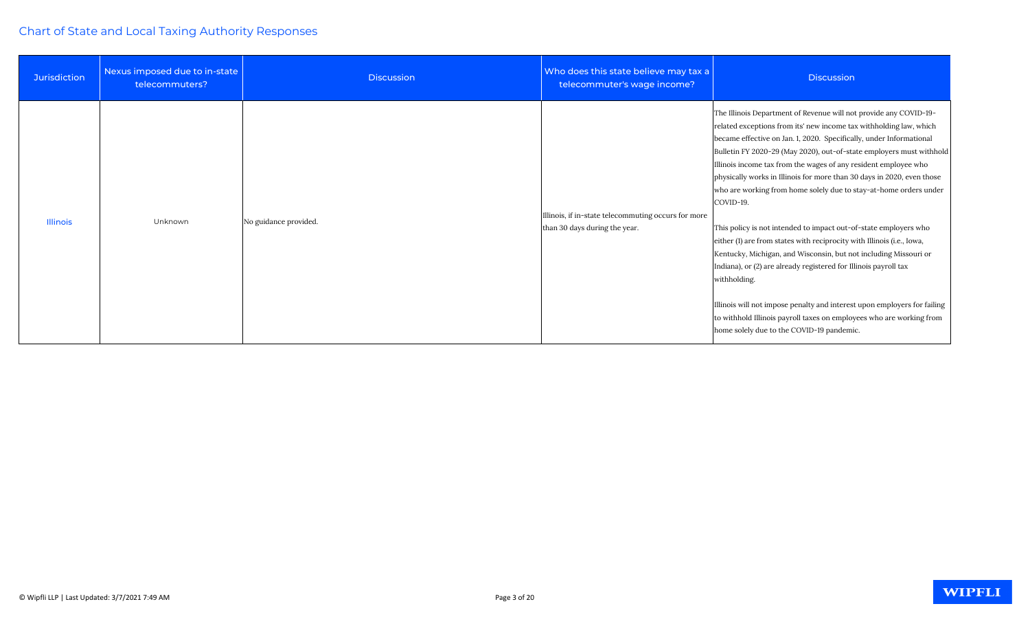| <b>Jurisdiction</b> | Nexus imposed due to in-state<br>telecommuters? | <b>Discussion</b>     | Who does this state believe may tax a<br>telecommuter's wage income?                 | <b>Discussion</b>                                                                                                                                                                                                                                                                                                                                                                                                                                                                                                                                                                                                                                                                                                                                                                                                                                                                                                                                                                                                            |
|---------------------|-------------------------------------------------|-----------------------|--------------------------------------------------------------------------------------|------------------------------------------------------------------------------------------------------------------------------------------------------------------------------------------------------------------------------------------------------------------------------------------------------------------------------------------------------------------------------------------------------------------------------------------------------------------------------------------------------------------------------------------------------------------------------------------------------------------------------------------------------------------------------------------------------------------------------------------------------------------------------------------------------------------------------------------------------------------------------------------------------------------------------------------------------------------------------------------------------------------------------|
| <b>Illinois</b>     | Unknown                                         | No guidance provided. | Illinois, if in-state telecommuting occurs for more<br>than 30 days during the year. | The Illinois Department of Revenue will not provide any COVID-19-<br>related exceptions from its' new income tax withholding law, which<br>became effective on Jan. 1, 2020. Specifically, under Informational<br>Bulletin FY 2020-29 (May 2020), out-of-state employers must withhold<br>Illinois income tax from the wages of any resident employee who<br>physically works in Illinois for more than 30 days in 2020, even those<br>who are working from home solely due to stay-at-home orders under<br>COVID-19.<br>This policy is not intended to impact out-of-state employers who<br>either (1) are from states with reciprocity with Illinois (i.e., Iowa,<br>Kentucky, Michigan, and Wisconsin, but not including Missouri or<br>Indiana), or (2) are already registered for Illinois payroll tax<br>withholding.<br>Illinois will not impose penalty and interest upon employers for failing<br>to withhold Illinois payroll taxes on employees who are working from<br>home solely due to the COVID-19 pandemic. |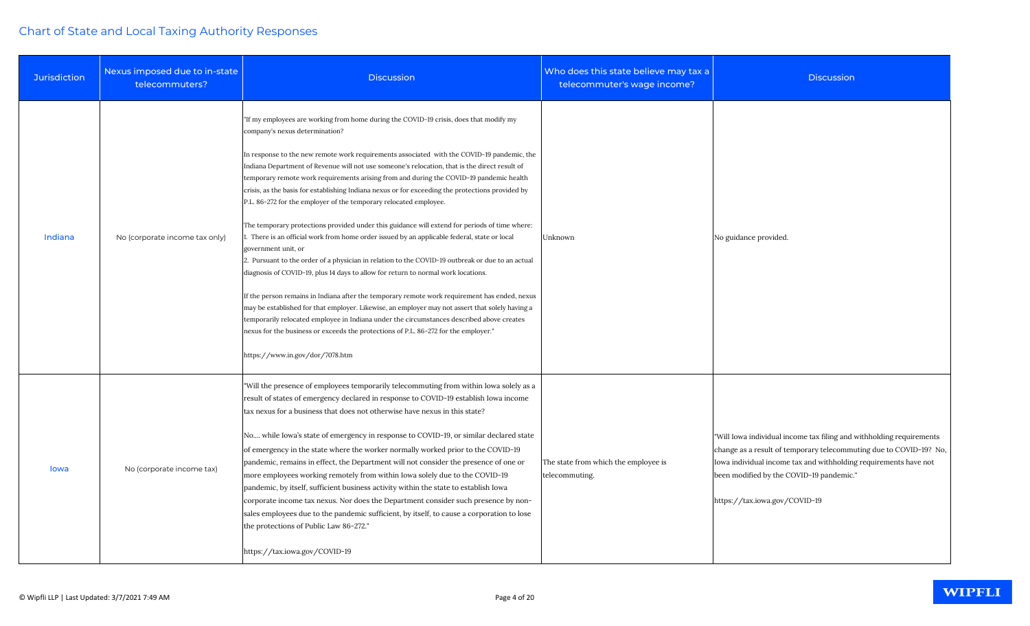| <b>Jurisdiction</b> | Nexus imposed due to in-state<br>telecommuters? | <b>Discussion</b>                                                                                                                                                                                                                                                                                                                                                                                                                                                                                                                                                                                                                                                                                                                                                                                                                                                                                                                                                                                                                                                                                                                                                                                                                                                                                                                                                                                                                       | Who does this state believe may tax a<br>telecommuter's wage income? |
|---------------------|-------------------------------------------------|-----------------------------------------------------------------------------------------------------------------------------------------------------------------------------------------------------------------------------------------------------------------------------------------------------------------------------------------------------------------------------------------------------------------------------------------------------------------------------------------------------------------------------------------------------------------------------------------------------------------------------------------------------------------------------------------------------------------------------------------------------------------------------------------------------------------------------------------------------------------------------------------------------------------------------------------------------------------------------------------------------------------------------------------------------------------------------------------------------------------------------------------------------------------------------------------------------------------------------------------------------------------------------------------------------------------------------------------------------------------------------------------------------------------------------------------|----------------------------------------------------------------------|
| Indiana             | No (corporate income tax only)                  | "If my employees are working from home during the COVID-19 crisis, does that modify my<br>company's nexus determination?<br>In response to the new remote work requirements associated with the COVID-19 pandemic, the<br>Indiana Department of Revenue will not use someone's relocation, that is the direct result of<br>temporary remote work requirements arising from and during the COVID-19 pandemic health<br>crisis, as the basis for establishing Indiana nexus or for exceeding the protections provided by<br>P.L. 86-272 for the employer of the temporary relocated employee.<br>The temporary protections provided under this guidance will extend for periods of time where:<br>1. There is an official work from home order issued by an applicable federal, state or local<br>government unit, or<br>2. Pursuant to the order of a physician in relation to the COVID-19 outbreak or due to an actual<br>diagnosis of COVID-19, plus 14 days to allow for return to normal work locations.<br>If the person remains in Indiana after the temporary remote work requirement has ended, nexus<br>may be established for that employer. Likewise, an employer may not assert that solely having a<br>temporarily relocated employee in Indiana under the circumstances described above creates<br>nexus for the business or exceeds the protections of P.L. 86-272 for the employer."<br>https://www.in.gov/dor/7078.htm | Unknown                                                              |
| lowa                | No (corporate income tax)                       | "Will the presence of employees temporarily telecommuting from within Iowa solely as a<br>result of states of emergency declared in response to COVID-19 establish Iowa income<br>tax nexus for a business that does not otherwise have nexus in this state?<br>No while Iowa's state of emergency in response to COVID-19, or similar declared state<br>of emergency in the state where the worker normally worked prior to the COVID-19<br>pandemic, remains in effect, the Department will not consider the presence of one or<br>more employees working remotely from within Iowa solely due to the COVID-19<br>pandemic, by itself, sufficient business activity within the state to establish Iowa<br>corporate income tax nexus. Nor does the Department consider such presence by non-<br>sales employees due to the pandemic sufficient, by itself, to cause a corporation to lose<br>the protections of Public Law 86-272."<br>https://tax.iowa.gov/COVID-19                                                                                                                                                                                                                                                                                                                                                                                                                                                                  | The state from which the employee is<br>telecommuting.               |

| Who does this state believe may tax a<br>telecommuter's wage income? | <b>Discussion</b>                                                                                                                                                                                                                                                                           |
|----------------------------------------------------------------------|---------------------------------------------------------------------------------------------------------------------------------------------------------------------------------------------------------------------------------------------------------------------------------------------|
| Unknown                                                              | No guidance provided.                                                                                                                                                                                                                                                                       |
| The state from which the employee is<br>telecommuting.               | "Will Iowa individual income tax filing and withholding requirements<br>change as a result of temporary telecommuting due to COVID-19? No,<br>Iowa individual income tax and withholding requirements have not<br>been modified by the COVID-19 pandemic."<br>https://tax.iowa.gov/COVID-19 |

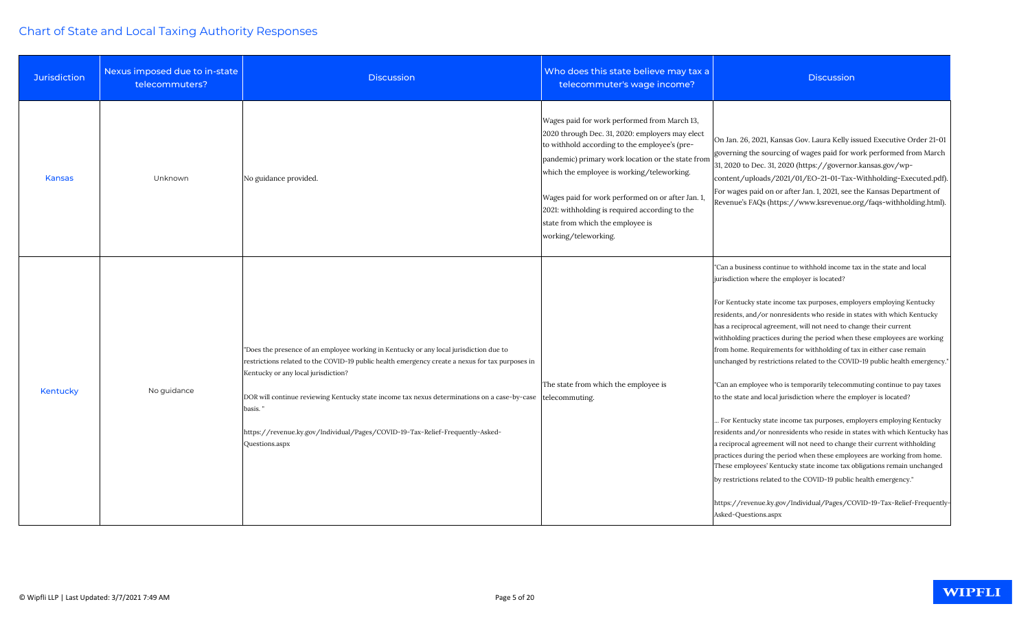| <b>Jurisdiction</b> | Nexus imposed due to in-state<br>telecommuters? | <b>Discussion</b>                                                                                                                                                                                                                                                                                                                                                                                                                                               | Who does this state believe may tax a<br>telecommuter's wage income?                                                                                                                                                                                                                                                                                                                                                   | <b>Discussion</b>                                                                                                                                                                                                                                                                                                                                                                                                                                                                                                                                                                                                                                                                                                                                                                                                                                                                                                                                                                                                                                                                                                                                                                                                                                                                                 |
|---------------------|-------------------------------------------------|-----------------------------------------------------------------------------------------------------------------------------------------------------------------------------------------------------------------------------------------------------------------------------------------------------------------------------------------------------------------------------------------------------------------------------------------------------------------|------------------------------------------------------------------------------------------------------------------------------------------------------------------------------------------------------------------------------------------------------------------------------------------------------------------------------------------------------------------------------------------------------------------------|---------------------------------------------------------------------------------------------------------------------------------------------------------------------------------------------------------------------------------------------------------------------------------------------------------------------------------------------------------------------------------------------------------------------------------------------------------------------------------------------------------------------------------------------------------------------------------------------------------------------------------------------------------------------------------------------------------------------------------------------------------------------------------------------------------------------------------------------------------------------------------------------------------------------------------------------------------------------------------------------------------------------------------------------------------------------------------------------------------------------------------------------------------------------------------------------------------------------------------------------------------------------------------------------------|
| <b>Kansas</b>       | Unknown                                         | No guidance provided.                                                                                                                                                                                                                                                                                                                                                                                                                                           | Wages paid for work performed from March 13,<br>2020 through Dec. 31, 2020: employers may elect<br>to withhold according to the employee's (pre-<br>pandemic) primary work location or the state from<br>which the employee is working/teleworking.<br>Wages paid for work performed on or after Jan. 1,<br>2021: withholding is required according to the<br>state from which the employee is<br>working/teleworking. | On Jan. 26, 2021, Kansas Gov. Laura Kelly issued Executive Order 21-01<br>governing the sourcing of wages paid for work performed from March<br>31, 2020 to Dec. 31, 2020 (https://governor.kansas.gov/wp-<br>content/uploads/2021/01/EO-21-01-Tax-Withholding-Executed.pdf).<br>For wages paid on or after Jan. 1, 2021, see the Kansas Department of<br>Revenue's FAQs (https://www.ksrevenue.org/faqs-withholding.html)                                                                                                                                                                                                                                                                                                                                                                                                                                                                                                                                                                                                                                                                                                                                                                                                                                                                        |
| Kentucky            | No guidance                                     | "Does the presence of an employee working in Kentucky or any local jurisdiction due to<br>restrictions related to the COVID-19 public health emergency create a nexus for tax purposes in<br>Kentucky or any local jurisdiction?<br>DOR will continue reviewing Kentucky state income tax nexus determinations on a case-by-case   telecommuting.<br>basis."<br>https://revenue.ky.gov/Individual/Pages/COVID-19-Tax-Relief-Frequently-Asked-<br>Questions.aspx | The state from which the employee is                                                                                                                                                                                                                                                                                                                                                                                   | "Can a business continue to withhold income tax in the state and local<br>jurisdiction where the employer is located?<br>For Kentucky state income tax purposes, employers employing Kentucky<br>residents, and/or nonresidents who reside in states with which Kentucky<br>has a reciprocal agreement, will not need to change their current<br>withholding practices during the period when these employees are working<br>from home. Requirements for withholding of tax in either case remain<br>unchanged by restrictions related to the COVID-19 public health emergency.'<br>"Can an employee who is temporarily telecommuting continue to pay taxes<br>to the state and local jurisdiction where the employer is located?<br>For Kentucky state income tax purposes, employers employing Kentucky<br>residents and/or nonresidents who reside in states with which Kentucky has<br>a reciprocal agreement will not need to change their current withholding<br>practices during the period when these employees are working from home.<br>These employees' Kentucky state income tax obligations remain unchanged<br>by restrictions related to the COVID-19 public health emergency."<br>https://revenue.ky.gov/Individual/Pages/COVID-19-Tax-Relief-Frequently-<br>Asked-Questions.aspx |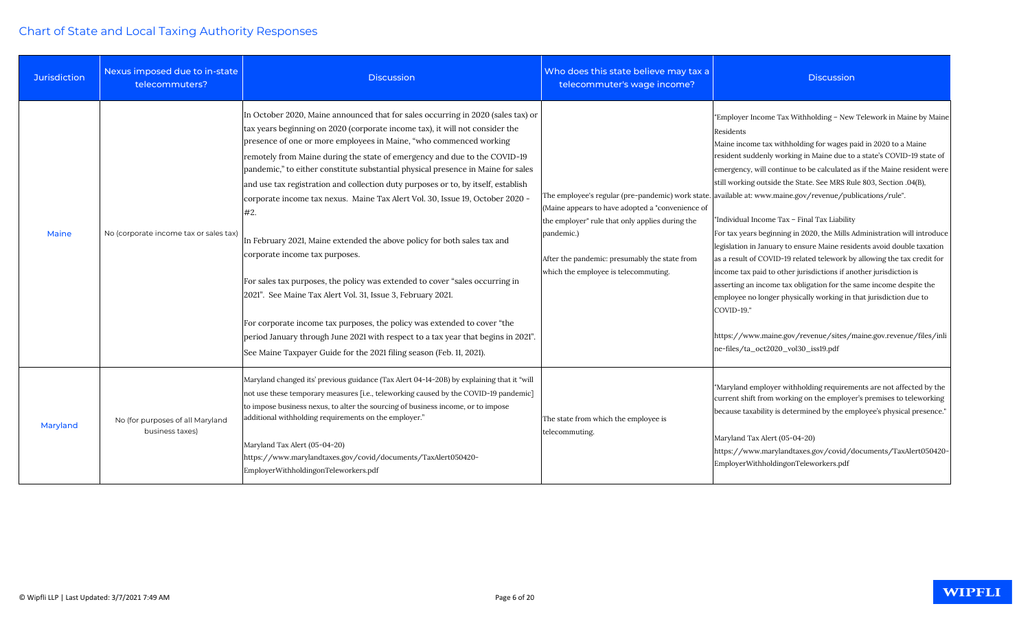| <b>Jurisdiction</b> | Nexus imposed due to in-state<br>telecommuters?     | <b>Discussion</b>                                                                                                                                                                                                                                                                                                                                                                                                                                                                                                                                                                                                                                                                                                                                                                                                                                                                                                                                                                                                                                                                           | Who does this state believe may tax a<br>telecommuter's wage income?                                                                                                                                       | <b>Discussion</b>                                                                                                                                                                                                                                                                                                                                                                                                                                                                                                                                                                                                                                                                                                                                                                                                                                                                                                                                                                                                                                                                                                 |
|---------------------|-----------------------------------------------------|---------------------------------------------------------------------------------------------------------------------------------------------------------------------------------------------------------------------------------------------------------------------------------------------------------------------------------------------------------------------------------------------------------------------------------------------------------------------------------------------------------------------------------------------------------------------------------------------------------------------------------------------------------------------------------------------------------------------------------------------------------------------------------------------------------------------------------------------------------------------------------------------------------------------------------------------------------------------------------------------------------------------------------------------------------------------------------------------|------------------------------------------------------------------------------------------------------------------------------------------------------------------------------------------------------------|-------------------------------------------------------------------------------------------------------------------------------------------------------------------------------------------------------------------------------------------------------------------------------------------------------------------------------------------------------------------------------------------------------------------------------------------------------------------------------------------------------------------------------------------------------------------------------------------------------------------------------------------------------------------------------------------------------------------------------------------------------------------------------------------------------------------------------------------------------------------------------------------------------------------------------------------------------------------------------------------------------------------------------------------------------------------------------------------------------------------|
| <b>Maine</b>        | No (corporate income tax or sales tax)              | In October 2020, Maine announced that for sales occurring in 2020 (sales tax) or<br>tax years beginning on 2020 (corporate income tax), it will not consider the<br>presence of one or more employees in Maine, "who commenced working<br>remotely from Maine during the state of emergency and due to the COVID-19<br>pandemic," to either constitute substantial physical presence in Maine for sales<br>and use tax registration and collection duty purposes or to, by itself, establish<br>corporate income tax nexus. Maine Tax Alert Vol. 30, Issue 19, October 2020 -<br>#2.<br>In February 2021, Maine extended the above policy for both sales tax and<br>corporate income tax purposes.<br>For sales tax purposes, the policy was extended to cover "sales occurring in<br>[2021". See Maine Tax Alert Vol. 31, Issue 3, February 2021.<br>For corporate income tax purposes, the policy was extended to cover "the<br>period January through June 2021 with respect to a tax year that begins in 2021".<br>See Maine Taxpayer Guide for the 2021 filing season (Feb. 11, 2021). | (Maine appears to have adopted a "convenience of<br>the employer" rule that only applies during the<br>pandemic.)<br>After the pandemic: presumably the state from<br>which the employee is telecommuting. | "Employer Income Tax Withholding - New Telework in Maine by Maine<br>Residents<br>Maine income tax withholding for wages paid in 2020 to a Maine<br>resident suddenly working in Maine due to a state's COVID-19 state of<br>emergency, will continue to be calculated as if the Maine resident were<br>still working outside the State. See MRS Rule 803, Section .04(B),<br>The employee's regular (pre-pandemic) work state. available at: www.maine.gov/revenue/publications/rule".<br>"Individual Income Tax - Final Tax Liability<br>For tax years beginning in 2020, the Mills Administration will introduce<br>legislation in January to ensure Maine residents avoid double taxation<br>as a result of COVID-19 related telework by allowing the tax credit for<br>income tax paid to other jurisdictions if another jurisdiction is<br>asserting an income tax obligation for the same income despite the<br>employee no longer physically working in that jurisdiction due to<br>COVID-19."<br>https://www.maine.gov/revenue/sites/maine.gov.revenue/files/inli<br>ne-files/ta_oct2020_vol30_iss19.pdf |
| Maryland            | No (for purposes of all Maryland<br>business taxes) | Maryland changed its' previous guidance (Tax Alert 04-14-20B) by explaining that it "will<br>not use these temporary measures [i.e., teleworking caused by the COVID-19 pandemic]<br>to impose business nexus, to alter the sourcing of business income, or to impose<br>additional withholding requirements on the employer."<br>Maryland Tax Alert (05-04-20)<br>https://www.marylandtaxes.gov/covid/documents/TaxAlert050420-<br>EmployerWithholdingonTeleworkers.pdf                                                                                                                                                                                                                                                                                                                                                                                                                                                                                                                                                                                                                    | The state from which the employee is<br>telecommuting.                                                                                                                                                     | "Maryland employer withholding requirements are not affected by the<br>current shift from working on the employer's premises to teleworking<br>because taxability is determined by the employee's physical presence."<br>Maryland Tax Alert (05-04-20)<br>https://www.marylandtaxes.gov/covid/documents/TaxAlert050420-<br>EmployerWithholdingonTeleworkers.pdf                                                                                                                                                                                                                                                                                                                                                                                                                                                                                                                                                                                                                                                                                                                                                   |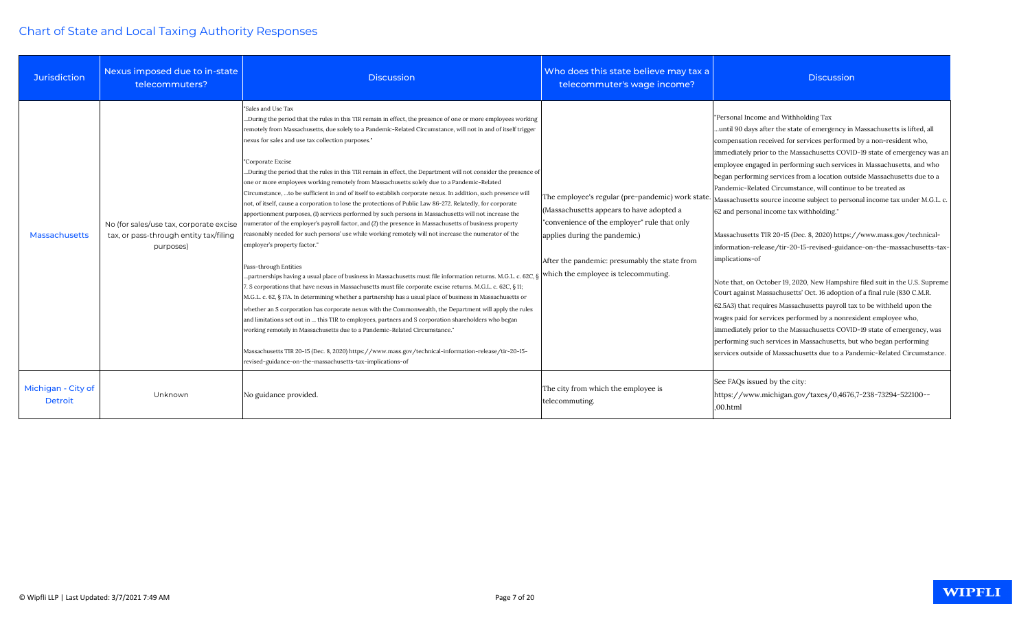| <b>Jurisdiction</b>                  | Nexus imposed due to in-state<br>telecommuters?                                                | <b>Discussion</b>                                                                                                                                                                                                                                                                                                                                                                                                                                                                                                                                                                                                                                                                                                                                                                                                                                                                                                                                                                                                                                                                                                                                                                                                                                                                                                                                                                                                                                                                                                                                                                                                                                                                                                                                                                                                                                                                                                                                                                       | Who does this state believe may tax a<br>telecommuter's wage income?                                                                                                                                                                                                    | <b>Discussion</b>                                                                                                                                                                                                                                                                                                                                                                                                                                                                                                                                                                                                                                                                                                                                                                                                                                                                                                                                                                                                                                                                                                                                                                                                                                                                                                                           |
|--------------------------------------|------------------------------------------------------------------------------------------------|-----------------------------------------------------------------------------------------------------------------------------------------------------------------------------------------------------------------------------------------------------------------------------------------------------------------------------------------------------------------------------------------------------------------------------------------------------------------------------------------------------------------------------------------------------------------------------------------------------------------------------------------------------------------------------------------------------------------------------------------------------------------------------------------------------------------------------------------------------------------------------------------------------------------------------------------------------------------------------------------------------------------------------------------------------------------------------------------------------------------------------------------------------------------------------------------------------------------------------------------------------------------------------------------------------------------------------------------------------------------------------------------------------------------------------------------------------------------------------------------------------------------------------------------------------------------------------------------------------------------------------------------------------------------------------------------------------------------------------------------------------------------------------------------------------------------------------------------------------------------------------------------------------------------------------------------------------------------------------------------|-------------------------------------------------------------------------------------------------------------------------------------------------------------------------------------------------------------------------------------------------------------------------|---------------------------------------------------------------------------------------------------------------------------------------------------------------------------------------------------------------------------------------------------------------------------------------------------------------------------------------------------------------------------------------------------------------------------------------------------------------------------------------------------------------------------------------------------------------------------------------------------------------------------------------------------------------------------------------------------------------------------------------------------------------------------------------------------------------------------------------------------------------------------------------------------------------------------------------------------------------------------------------------------------------------------------------------------------------------------------------------------------------------------------------------------------------------------------------------------------------------------------------------------------------------------------------------------------------------------------------------|
| Massachusetts                        | No (for sales/use tax, corporate excise<br>tax, or pass-through entity tax/filing<br>purposes) | "Sales and Use Tax<br>During the period that the rules in this TIR remain in effect, the presence of one or more employees working<br>remotely from Massachusetts, due solely to a Pandemic-Related Circumstance, will not in and of itself trigger<br>nexus for sales and use tax collection purposes."<br>"Corporate Excise<br>During the period that the rules in this TIR remain in effect, the Department will not consider the presence of<br>one or more employees working remotely from Massachusetts solely due to a Pandemic-Related<br>Circumstance,  to be sufficient in and of itself to establish corporate nexus. In addition, such presence will<br>not, of itself, cause a corporation to lose the protections of Public Law 86-272. Relatedly, for corporate<br>apportionment purposes, (1) services performed by such persons in Massachusetts will not increase the<br>numerator of the employer's payroll factor, and (2) the presence in Massachusetts of business property<br>reasonably needed for such persons' use while working remotely will not increase the numerator of the<br>employer's property factor."<br>Pass-through Entities<br>partnerships having a usual place of business in Massachusetts must file information returns. M.G.L. c. 62C,<br>7. S corporations that have nexus in Massachusetts must file corporate excise returns. M.G.L. c. 62C, § 11;<br>M.G.L. c. 62, § 17A. In determining whether a partnership has a usual place of business in Massachusetts or<br>whether an S corporation has corporate nexus with the Commonwealth, the Department will apply the rules<br>and limitations set out in  this TIR to employees, partners and S corporation shareholders who began<br>working remotely in Massachusetts due to a Pandemic-Related Circumstance."<br>Massachusetts TIR 20-15 (Dec. 8, 2020) https://www.mass.gov/technical-information-release/tir-20-15-<br>revised-guidance-on-the-massachusetts-tax-implications-of | The employee's regular (pre-pandemic) work state.<br>(Massachusetts appears to have adopted a<br>"convenience of the employer" rule that only<br>applies during the pandemic.)<br>After the pandemic: presumably the state from<br>which the employee is telecommuting. | "Personal Income and Withholding Tax<br>until 90 days after the state of emergency in Massachusetts is lifted, all<br>compensation received for services performed by a non-resident who,<br>immediately prior to the Massachusetts COVID-19 state of emergency was an<br>employee engaged in performing such services in Massachusetts, and who<br>began performing services from a location outside Massachusetts due to a<br>Pandemic-Related Circumstance, will continue to be treated as<br>Massachusetts source income subject to personal income tax under M.G.L. c.<br>62 and personal income tax withholding."<br>Massachusetts TIR 20-15 (Dec. 8, 2020) https://www.mass.gov/technical-<br>information-release/tir-20-15-revised-guidance-on-the-massachusetts-tax-<br>implications-of<br>Note that, on October 19, 2020, New Hampshire filed suit in the U.S. Supreme<br>Court against Massachusetts' Oct. 16 adoption of a final rule (830 C.M.R.<br>62.5A3) that requires Massachusetts payroll tax to be withheld upon the<br>wages paid for services performed by a nonresident employee who,<br>immediately prior to the Massachusetts COVID-19 state of emergency, was<br>performing such services in Massachusetts, but who began performing<br>services outside of Massachusetts due to a Pandemic-Related Circumstance. |
| Michigan - City of<br><b>Detroit</b> | Unknown                                                                                        | No guidance provided.                                                                                                                                                                                                                                                                                                                                                                                                                                                                                                                                                                                                                                                                                                                                                                                                                                                                                                                                                                                                                                                                                                                                                                                                                                                                                                                                                                                                                                                                                                                                                                                                                                                                                                                                                                                                                                                                                                                                                                   | The city from which the employee is<br>telecommuting.                                                                                                                                                                                                                   | See FAQs issued by the city:<br>https://www.michigan.gov/taxes/0,4676,7-238-73294-522100--<br>,00.html                                                                                                                                                                                                                                                                                                                                                                                                                                                                                                                                                                                                                                                                                                                                                                                                                                                                                                                                                                                                                                                                                                                                                                                                                                      |

**WIPFLI**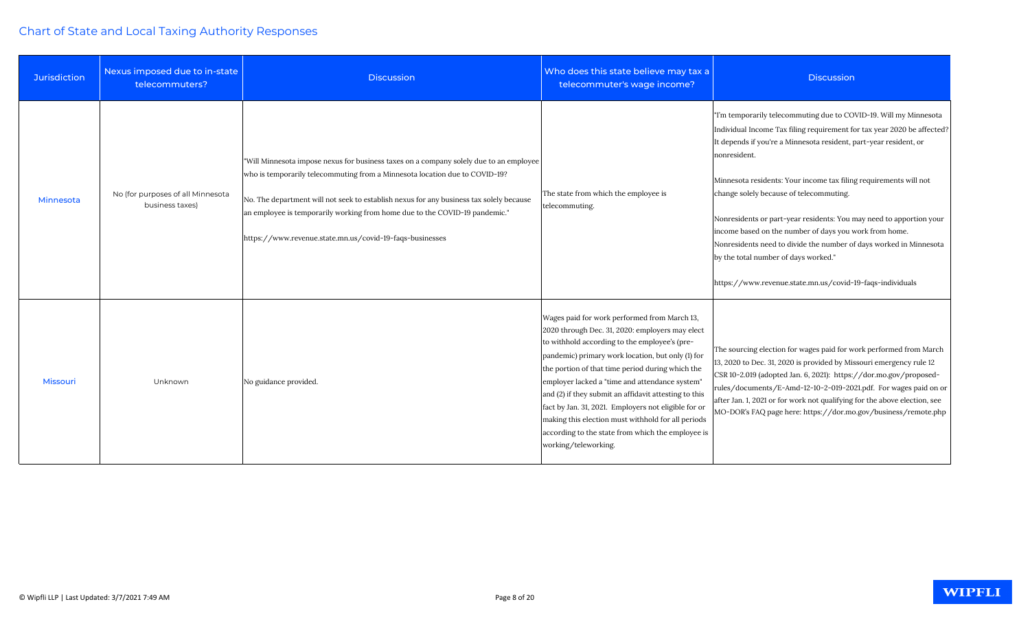| Jurisdiction    | Nexus imposed due to in-state<br>telecommuters?      | <b>Discussion</b>                                                                                                                                                                                                                                                                                                                                                                                           | Who does this state believe may tax a<br>telecommuter's wage income?                                                                                                                                                                                                                                                                                                                                                                                                                                                                                            | <b>Discussion</b>                                                                                                                                                                                                                                                                                                                                                                                                                                                                                                                                                                                                                                             |
|-----------------|------------------------------------------------------|-------------------------------------------------------------------------------------------------------------------------------------------------------------------------------------------------------------------------------------------------------------------------------------------------------------------------------------------------------------------------------------------------------------|-----------------------------------------------------------------------------------------------------------------------------------------------------------------------------------------------------------------------------------------------------------------------------------------------------------------------------------------------------------------------------------------------------------------------------------------------------------------------------------------------------------------------------------------------------------------|---------------------------------------------------------------------------------------------------------------------------------------------------------------------------------------------------------------------------------------------------------------------------------------------------------------------------------------------------------------------------------------------------------------------------------------------------------------------------------------------------------------------------------------------------------------------------------------------------------------------------------------------------------------|
| Minnesota       | No (for purposes of all Minnesota<br>business taxes) | "Will Minnesota impose nexus for business taxes on a company solely due to an employee<br>who is temporarily telecommuting from a Minnesota location due to COVID-19?<br>No. The department will not seek to establish nexus for any business tax solely because<br>an employee is temporarily working from home due to the COVID-19 pandemic."<br>https://www.revenue.state.mn.us/covid-19-faqs-businesses | The state from which the employee is<br>telecommuting.                                                                                                                                                                                                                                                                                                                                                                                                                                                                                                          | 'I'm temporarily telecommuting due to COVID-19. Will my Minnesota<br>Individual Income Tax filing requirement for tax year 2020 be affected?<br>It depends if you're a Minnesota resident, part-year resident, or<br>nonresident.<br>Minnesota residents: Your income tax filing requirements will not<br>change solely because of telecommuting.<br>Nonresidents or part-year residents: You may need to apportion your<br>income based on the number of days you work from home.<br>Nonresidents need to divide the number of days worked in Minnesota<br>by the total number of days worked."<br>https://www.revenue.state.mn.us/covid-19-faqs-individuals |
| <b>Missouri</b> | Unknown                                              | No guidance provided.                                                                                                                                                                                                                                                                                                                                                                                       | Wages paid for work performed from March 13,<br>2020 through Dec. 31, 2020: employers may elect<br>to withhold according to the employee's (pre-<br>pandemic) primary work location, but only (1) for<br>the portion of that time period during which the<br>employer lacked a "time and attendance system"<br>and (2) if they submit an affidavit attesting to this<br>fact by Jan. 31, 2021. Employers not eligible for or<br>making this election must withhold for all periods<br>according to the state from which the employee is<br>working/teleworking. | The sourcing election for wages paid for work performed from March<br>13, 2020 to Dec. 31, 2020 is provided by Missouri emergency rule 12<br>CSR 10-2.019 (adopted Jan. 6, 2021): https://dor.mo.gov/proposed-<br>rules/documents/E-Amd-12-10-2-019-2021.pdf. For wages paid on or<br>after Jan. 1, 2021 or for work not qualifying for the above election, see<br>MO-DOR's FAQ page here: https://dor.mo.gov/business/remote.php                                                                                                                                                                                                                             |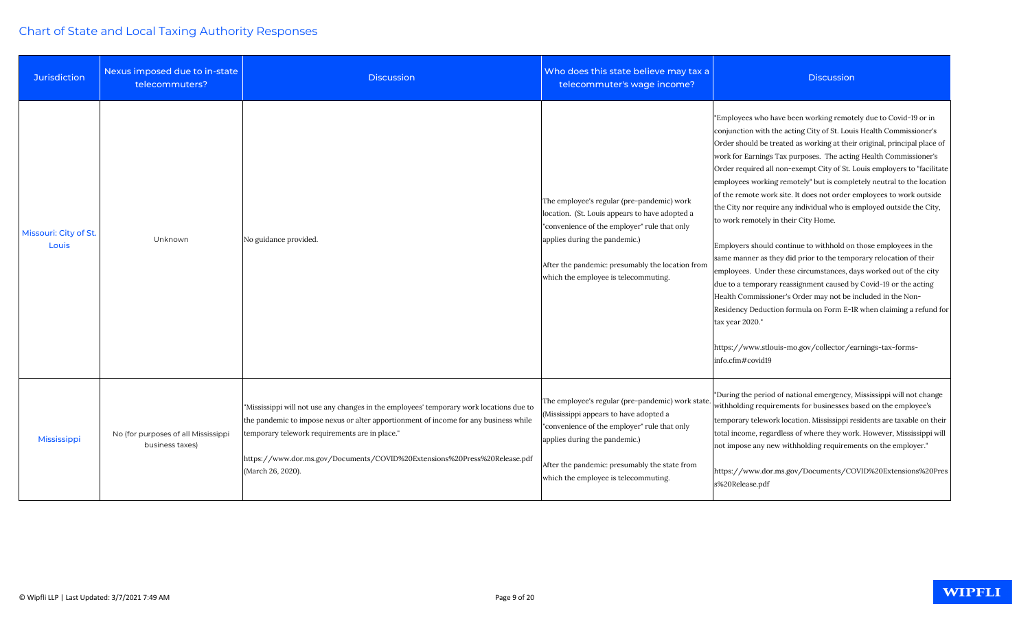| <b>Jurisdiction</b>            | Nexus imposed due to in-state<br>telecommuters?        | <b>Discussion</b>                                                                                                                                                                                                                                                                                                                   | Who does this state believe may tax a<br>telecommuter's wage income?                                                                                                                                                                                                      | <b>Discussion</b>                                                                                                                                                                                                                                                                                                                                                                                                                                                                                                                                                                                                                                                                                                                                                                                                                                                                                                                                                                                                                                                                                                                                               |
|--------------------------------|--------------------------------------------------------|-------------------------------------------------------------------------------------------------------------------------------------------------------------------------------------------------------------------------------------------------------------------------------------------------------------------------------------|---------------------------------------------------------------------------------------------------------------------------------------------------------------------------------------------------------------------------------------------------------------------------|-----------------------------------------------------------------------------------------------------------------------------------------------------------------------------------------------------------------------------------------------------------------------------------------------------------------------------------------------------------------------------------------------------------------------------------------------------------------------------------------------------------------------------------------------------------------------------------------------------------------------------------------------------------------------------------------------------------------------------------------------------------------------------------------------------------------------------------------------------------------------------------------------------------------------------------------------------------------------------------------------------------------------------------------------------------------------------------------------------------------------------------------------------------------|
| Missouri: City of St.<br>Louis | Unknown                                                | No guidance provided.                                                                                                                                                                                                                                                                                                               | The employee's regular (pre-pandemic) work<br>location. (St. Louis appears to have adopted a<br>"convenience of the employer" rule that only<br>applies during the pandemic.)<br>After the pandemic: presumably the location from<br>which the employee is telecommuting. | "Employees who have been working remotely due to Covid-19 or in<br>conjunction with the acting City of St. Louis Health Commissioner's<br>Order should be treated as working at their original, principal place of<br>work for Earnings Tax purposes. The acting Health Commissioner's<br>Order required all non-exempt City of St. Louis employers to "facilitate<br>employees working remotely" but is completely neutral to the location<br>of the remote work site. It does not order employees to work outside<br>the City nor require any individual who is employed outside the City,<br>to work remotely in their City Home.<br>Employers should continue to withhold on those employees in the<br>same manner as they did prior to the temporary relocation of their<br>employees. Under these circumstances, days worked out of the city<br>due to a temporary reassignment caused by Covid-19 or the acting<br>Health Commissioner's Order may not be included in the Non-<br>Residency Deduction formula on Form E-1R when claiming a refund for<br>tax year 2020."<br>https://www.stlouis-mo.gov/collector/earnings-tax-forms-<br>info.cfm#covid19 |
| Mississippi                    | No (for purposes of all Mississippi<br>business taxes) | "Mississippi will not use any changes in the employees' temporary work locations due to<br>the pandemic to impose nexus or alter apportionment of income for any business while<br>temporary telework requirements are in place."<br>https://www.dor.ms.gov/Documents/COVID%20Extensions%20Press%20Release.pdf<br>(March 26, 2020). | The employee's regular (pre-pandemic) work state.<br>(Mississippi appears to have adopted a<br>"convenience of the employer" rule that only<br>applies during the pandemic.)<br>After the pandemic: presumably the state from<br>which the employee is telecommuting.     | "During the period of national emergency, Mississippi will not change<br>withholding requirements for businesses based on the employee's<br>temporary telework location. Mississippi residents are taxable on their<br>total income, regardless of where they work. However, Mississippi will<br>not impose any new withholding requirements on the employer."<br>https://www.dor.ms.gov/Documents/COVID%20Extensions%20Pres<br>s%20Release.pdf                                                                                                                                                                                                                                                                                                                                                                                                                                                                                                                                                                                                                                                                                                                 |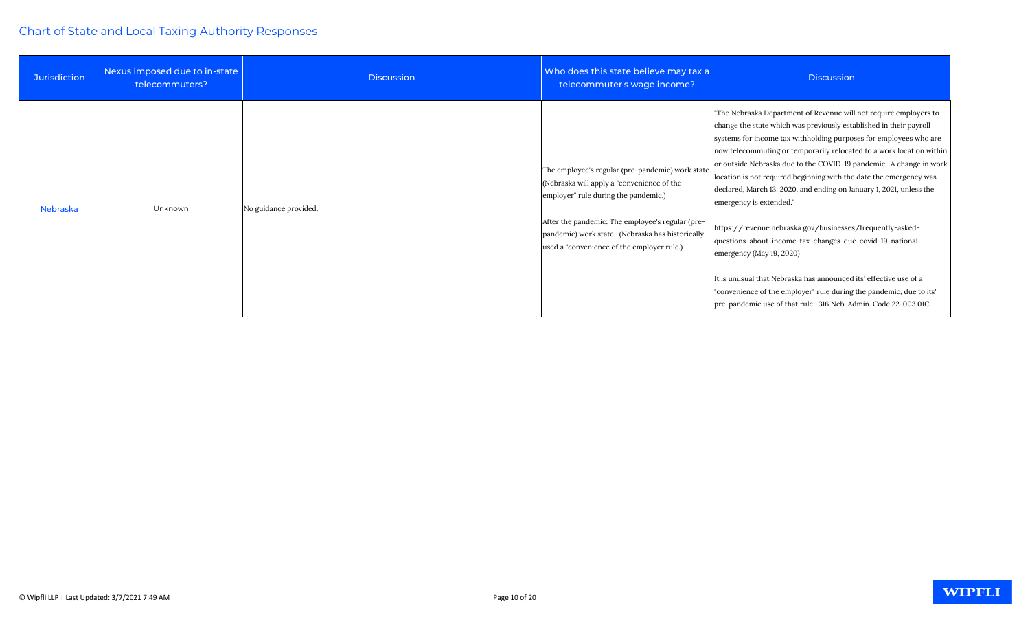| <b>Jurisdiction</b> | Nexus imposed due to in-state<br>telecommuters? | <b>Discussion</b>     | Who does this state believe may tax a<br>telecommuter's wage income?                                                                                                                                                                                                                          | <b>Discussion</b>                                                                                                                                                                                                                                                                                                                                                                                                                                                                                                                                                                                                                                                                                                                                                                                                                                                                                       |
|---------------------|-------------------------------------------------|-----------------------|-----------------------------------------------------------------------------------------------------------------------------------------------------------------------------------------------------------------------------------------------------------------------------------------------|---------------------------------------------------------------------------------------------------------------------------------------------------------------------------------------------------------------------------------------------------------------------------------------------------------------------------------------------------------------------------------------------------------------------------------------------------------------------------------------------------------------------------------------------------------------------------------------------------------------------------------------------------------------------------------------------------------------------------------------------------------------------------------------------------------------------------------------------------------------------------------------------------------|
| Nebraska            | Unknown                                         | No guidance provided. | The employee's regular (pre-pandemic) work state.<br>(Nebraska will apply a "convenience of the<br>employer" rule during the pandemic.)<br>After the pandemic: The employee's regular (pre-<br>pandemic) work state. (Nebraska has historically<br>used a "convenience of the employer rule.) | "The Nebraska Department of Revenue will not require employers to<br>change the state which was previously established in their payroll<br>systems for income tax withholding purposes for employees who are<br>now telecommuting or temporarily relocated to a work location within<br>or outside Nebraska due to the COVID-19 pandemic. A change in work<br>location is not required beginning with the date the emergency was<br>declared, March 13, 2020, and ending on January 1, 2021, unless the<br>emergency is extended."<br>https://revenue.nebraska.gov/businesses/frequently-asked-<br>questions-about-income-tax-changes-due-covid-19-national-<br>emergency (May 19, 2020)<br>It is unusual that Nebraska has announced its' effective use of a<br>"convenience of the employer" rule during the pandemic, due to its'<br>pre-pandemic use of that rule. 316 Neb. Admin. Code 22-003.01C. |

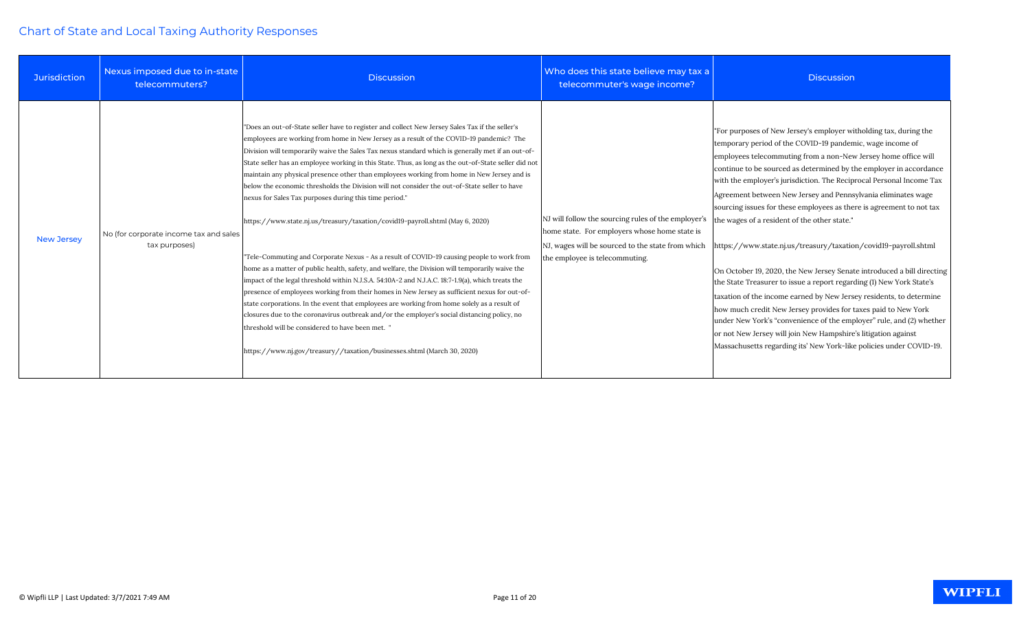| <b>Jurisdiction</b> | Nexus imposed due to in-state<br>telecommuters?         | <b>Discussion</b>                                                                                                                                                                                                                                                                                                                                                                                                                                                                                                                                                                                                                                                                                                                                                                                                                                                                                                                                                                                                                                                                                                                                                                                                                                                                                                                                                                                                                                                                 | Who does this state believe may tax a<br>telecommuter's wage income?                                                                                                                        | <b>Discussion</b>                                                                                                                                                                                                                                                                                                                                                                                                                                                                                                                                                                                                                                                                                                                                                                                                                                                                                                                                                                                                                                                                                                      |
|---------------------|---------------------------------------------------------|-----------------------------------------------------------------------------------------------------------------------------------------------------------------------------------------------------------------------------------------------------------------------------------------------------------------------------------------------------------------------------------------------------------------------------------------------------------------------------------------------------------------------------------------------------------------------------------------------------------------------------------------------------------------------------------------------------------------------------------------------------------------------------------------------------------------------------------------------------------------------------------------------------------------------------------------------------------------------------------------------------------------------------------------------------------------------------------------------------------------------------------------------------------------------------------------------------------------------------------------------------------------------------------------------------------------------------------------------------------------------------------------------------------------------------------------------------------------------------------|---------------------------------------------------------------------------------------------------------------------------------------------------------------------------------------------|------------------------------------------------------------------------------------------------------------------------------------------------------------------------------------------------------------------------------------------------------------------------------------------------------------------------------------------------------------------------------------------------------------------------------------------------------------------------------------------------------------------------------------------------------------------------------------------------------------------------------------------------------------------------------------------------------------------------------------------------------------------------------------------------------------------------------------------------------------------------------------------------------------------------------------------------------------------------------------------------------------------------------------------------------------------------------------------------------------------------|
| <b>New Jersey</b>   | No (for corporate income tax and sales<br>tax purposes) | "Does an out-of-State seller have to register and collect New Jersey Sales Tax if the seller's<br>employees are working from home in New Jersey as a result of the COVID-19 pandemic? The<br>Division will temporarily waive the Sales Tax nexus standard which is generally met if an out-of-<br>State seller has an employee working in this State. Thus, as long as the out-of-State seller did not<br>maintain any physical presence other than employees working from home in New Jersey and is<br>below the economic thresholds the Division will not consider the out-of-State seller to have<br>nexus for Sales Tax purposes during this time period."<br>https://www.state.nj.us/treasury/taxation/covid19-payroll.shtml (May 6, 2020)<br>"Tele-Commuting and Corporate Nexus - As a result of COVID-19 causing people to work from<br>home as a matter of public health, safety, and welfare, the Division will temporarily waive the<br>impact of the legal threshold within N.J.S.A. 54:10A-2 and N.J.A.C. 18:7-1.9(a), which treats the<br>presence of employees working from their homes in New Jersey as sufficient nexus for out-of-<br>state corporations. In the event that employees are working from home solely as a result of<br>closures due to the coronavirus outbreak and/or the employer's social distancing policy, no<br>threshold will be considered to have been met. "<br>https://www.nj.gov/treasury//taxation/businesses.shtml (March 30, 2020) | NJ will follow the sourcing rules of the employer's<br>home state. For employers whose home state is<br>NJ, wages will be sourced to the state from which<br>the employee is telecommuting. | "For purposes of New Jersey's employer witholding tax, during the<br>temporary period of the COVID-19 pandemic, wage income of<br>employees telecommuting from a non-New Jersey home office will<br>continue to be sourced as determined by the employer in accordance<br>with the employer's jurisdiction. The Reciprocal Personal Income Tax<br>Agreement between New Jersey and Pennsylvania eliminates wage<br>sourcing issues for these employees as there is agreement to not tax<br>the wages of a resident of the other state."<br>https://www.state.nj.us/treasury/taxation/covid19-payroll.shtml<br>On October 19, 2020, the New Jersey Senate introduced a bill directing<br>the State Treasurer to issue a report regarding (1) New York State's<br>taxation of the income earned by New Jersey residents, to determine<br>how much credit New Jersey provides for taxes paid to New York<br>under New York's "convenience of the employer" rule, and (2) whether<br>or not New Jersey will join New Hampshire's litigation against<br>Massachusetts regarding its' New York-like policies under COVID-19. |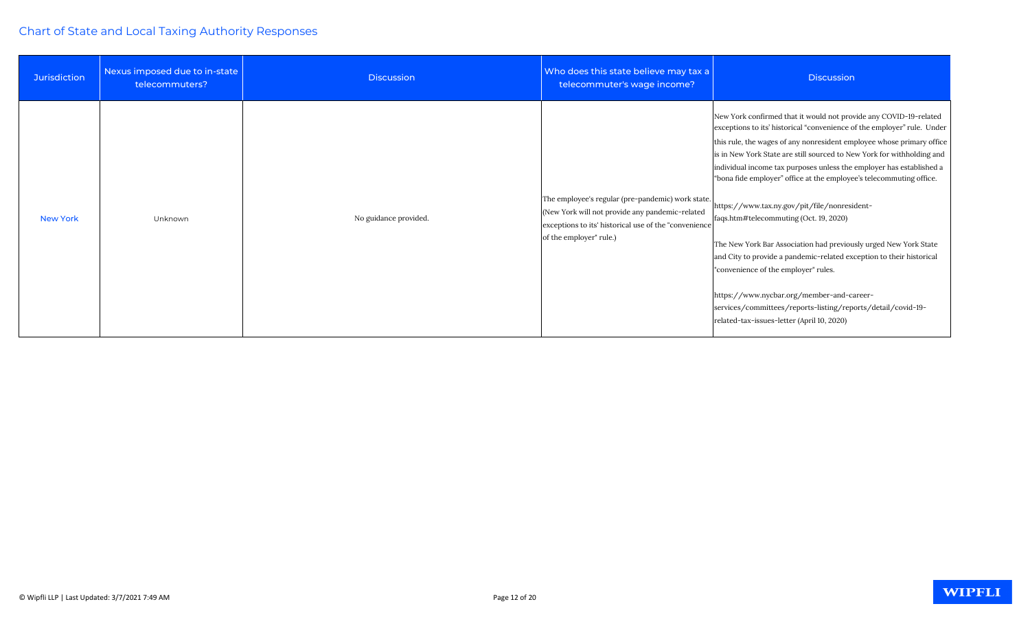| <b>Jurisdiction</b> | Nexus imposed due to in-state<br>telecommuters? | <b>Discussion</b>     | Who does this state believe may tax a<br>telecommuter's wage income?                                                                                                                     | <b>Discussion</b>                                                                                                                                                                                                                                                                                                                                                                                                                                                                                                                                                                                                                                                                                                                                                                                                                                                                       |
|---------------------|-------------------------------------------------|-----------------------|------------------------------------------------------------------------------------------------------------------------------------------------------------------------------------------|-----------------------------------------------------------------------------------------------------------------------------------------------------------------------------------------------------------------------------------------------------------------------------------------------------------------------------------------------------------------------------------------------------------------------------------------------------------------------------------------------------------------------------------------------------------------------------------------------------------------------------------------------------------------------------------------------------------------------------------------------------------------------------------------------------------------------------------------------------------------------------------------|
| <b>New York</b>     | Unknown                                         | No guidance provided. | The employee's regular (pre-pandemic) work state.<br>(New York will not provide any pandemic-related<br>exceptions to its' historical use of the "convenience<br>of the employer" rule.) | New York confirmed that it would not provide any COVID-19-related<br>exceptions to its' historical "convenience of the employer" rule. Under<br>this rule, the wages of any nonresident employee whose primary office<br>is in New York State are still sourced to New York for withholding and<br>individual income tax purposes unless the employer has established a<br>"bona fide employer" office at the employee's telecommuting office.<br>https://www.tax.ny.gov/pit/file/nonresident-<br>faqs.htm#telecommuting (Oct. 19, 2020)<br>The New York Bar Association had previously urged New York State<br>and City to provide a pandemic-related exception to their historical<br>"convenience of the employer" rules.<br>https://www.nycbar.org/member-and-career-<br>services/committees/reports-listing/reports/detail/covid-19-<br>related-tax-issues-letter (April 10, 2020) |

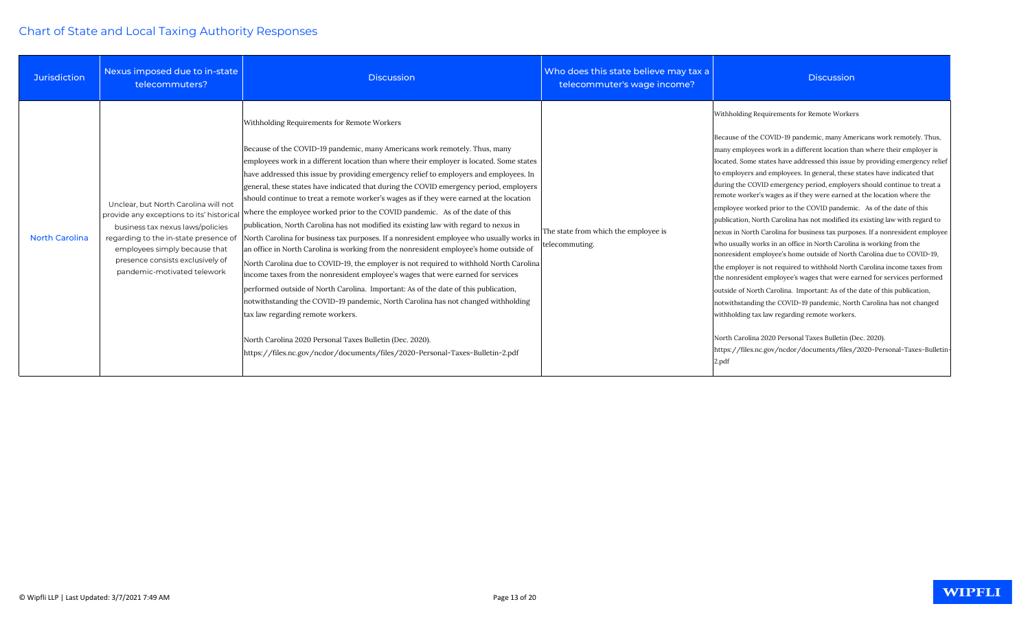| <b>Jurisdiction</b>   | Nexus imposed due to in-state<br>telecommuters?                                                                                                                                                                                                                    | <b>Discussion</b>                                                                                                                                                                                                                                                                                                                                                                                                                                                                                                                                                                                                                                                                                                                                                                                                                                                                                                                                                                                                                                                                                                                                                                                                                                                                                                                                                                                                 | Who does this state believe may tax a<br>telecommuter's wage income? | <b>Discussion</b>                                                                                                                                                                                                                                                                                                                                                                                                                                                                                                                                                                                                                                                                                                                                                                                                                                                                                                                                                                                                                                                                                                                                                                                                                                                                                                                                                                                                           |
|-----------------------|--------------------------------------------------------------------------------------------------------------------------------------------------------------------------------------------------------------------------------------------------------------------|-------------------------------------------------------------------------------------------------------------------------------------------------------------------------------------------------------------------------------------------------------------------------------------------------------------------------------------------------------------------------------------------------------------------------------------------------------------------------------------------------------------------------------------------------------------------------------------------------------------------------------------------------------------------------------------------------------------------------------------------------------------------------------------------------------------------------------------------------------------------------------------------------------------------------------------------------------------------------------------------------------------------------------------------------------------------------------------------------------------------------------------------------------------------------------------------------------------------------------------------------------------------------------------------------------------------------------------------------------------------------------------------------------------------|----------------------------------------------------------------------|-----------------------------------------------------------------------------------------------------------------------------------------------------------------------------------------------------------------------------------------------------------------------------------------------------------------------------------------------------------------------------------------------------------------------------------------------------------------------------------------------------------------------------------------------------------------------------------------------------------------------------------------------------------------------------------------------------------------------------------------------------------------------------------------------------------------------------------------------------------------------------------------------------------------------------------------------------------------------------------------------------------------------------------------------------------------------------------------------------------------------------------------------------------------------------------------------------------------------------------------------------------------------------------------------------------------------------------------------------------------------------------------------------------------------------|
| <b>North Carolina</b> | Unclear, but North Carolina will not<br>provide any exceptions to its' historical<br>business tax nexus laws/policies<br>regarding to the in-state presence of<br>employees simply because that<br>presence consists exclusively of<br>pandemic-motivated telework | Withholding Requirements for Remote Workers<br>Because of the COVID-19 pandemic, many Americans work remotely. Thus, many<br>employees work in a different location than where their employer is located. Some states<br>have addressed this issue by providing emergency relief to employers and employees. In<br>general, these states have indicated that during the COVID emergency period, employers<br>should continue to treat a remote worker's wages as if they were earned at the location<br>where the employee worked prior to the COVID pandemic. As of the date of this<br>publication, North Carolina has not modified its existing law with regard to nexus in<br>North Carolina for business tax purposes. If a nonresident employee who usually works in<br>an office in North Carolina is working from the nonresident employee's home outside of<br>North Carolina due to COVID-19, the employer is not required to withhold North Carolina<br>income taxes from the nonresident employee's wages that were earned for services<br>performed outside of North Carolina. Important: As of the date of this publication,<br>notwithstanding the COVID-19 pandemic, North Carolina has not changed withholding<br>tax law regarding remote workers.<br>North Carolina 2020 Personal Taxes Bulletin (Dec. 2020).<br>https://files.nc.gov/ncdor/documents/files/2020-Personal-Taxes-Bulletin-2.pdf | The state from which the employee is<br>telecommuting.               | Withholding Requirements for Remote Workers<br>Because of the COVID-19 pandemic, many Americans work remotely. Thus,<br>many employees work in a different location than where their employer is<br>located. Some states have addressed this issue by providing emergency relief<br>to employers and employees. In general, these states have indicated that<br>during the COVID emergency period, employers should continue to treat a<br>remote worker's wages as if they were earned at the location where the<br>employee worked prior to the COVID pandemic. As of the date of this<br>publication, North Carolina has not modified its existing law with regard to<br>nexus in North Carolina for business tax purposes. If a nonresident employee<br>who usually works in an office in North Carolina is working from the<br>nonresident employee's home outside of North Carolina due to COVID-19,<br>the employer is not required to withhold North Carolina income taxes from<br>the nonresident employee's wages that were earned for services performed<br>outside of North Carolina. Important: As of the date of this publication,<br>notwithstanding the COVID-19 pandemic, North Carolina has not changed<br>withholding tax law regarding remote workers.<br>North Carolina 2020 Personal Taxes Bulletin (Dec. 2020).<br>https://files.nc.gov/ncdor/documents/files/2020-Personal-Taxes-Bulletin-<br>2.pdf |

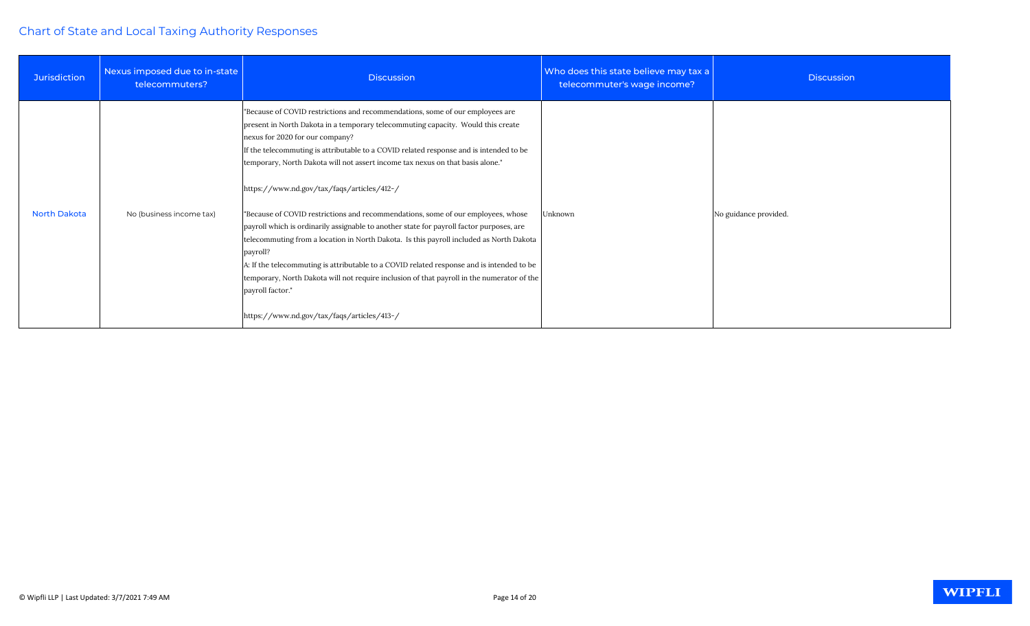| <b>Jurisdiction</b> | Nexus imposed due to in-state<br>telecommuters? | <b>Discussion</b>                                                                                                                                                                                                                                                                                                                                                                                                                                                                                                                                                                                                                                                                                                                                                                                                                                                                                                                                                                  | Who does this state believe may tax a<br>telecommuter's wage income? |
|---------------------|-------------------------------------------------|------------------------------------------------------------------------------------------------------------------------------------------------------------------------------------------------------------------------------------------------------------------------------------------------------------------------------------------------------------------------------------------------------------------------------------------------------------------------------------------------------------------------------------------------------------------------------------------------------------------------------------------------------------------------------------------------------------------------------------------------------------------------------------------------------------------------------------------------------------------------------------------------------------------------------------------------------------------------------------|----------------------------------------------------------------------|
| <b>North Dakota</b> | No (business income tax)                        | "Because of COVID restrictions and recommendations, some of our employees are<br>present in North Dakota in a temporary telecommuting capacity. Would this create<br>nexus for 2020 for our company?<br>If the telecommuting is attributable to a COVID related response and is intended to be<br>temporary, North Dakota will not assert income tax nexus on that basis alone."<br>https://www.nd.gov/tax/faqs/articles/412-/<br>"Because of COVID restrictions and recommendations, some of our employees, whose<br>payroll which is ordinarily assignable to another state for payroll factor purposes, are<br>telecommuting from a location in North Dakota. Is this payroll included as North Dakota<br>payroll?<br>A: If the telecommuting is attributable to a COVID related response and is intended to be<br>temporary, North Dakota will not require inclusion of that payroll in the numerator of the<br>payroll factor."<br>https://www.nd.gov/tax/faqs/articles/413-/ | Unknown                                                              |

| Who does this state believe may tax a<br>telecommuter's wage income? | <b>Discussion</b>     |
|----------------------------------------------------------------------|-----------------------|
| Unknown                                                              | No guidance provided. |

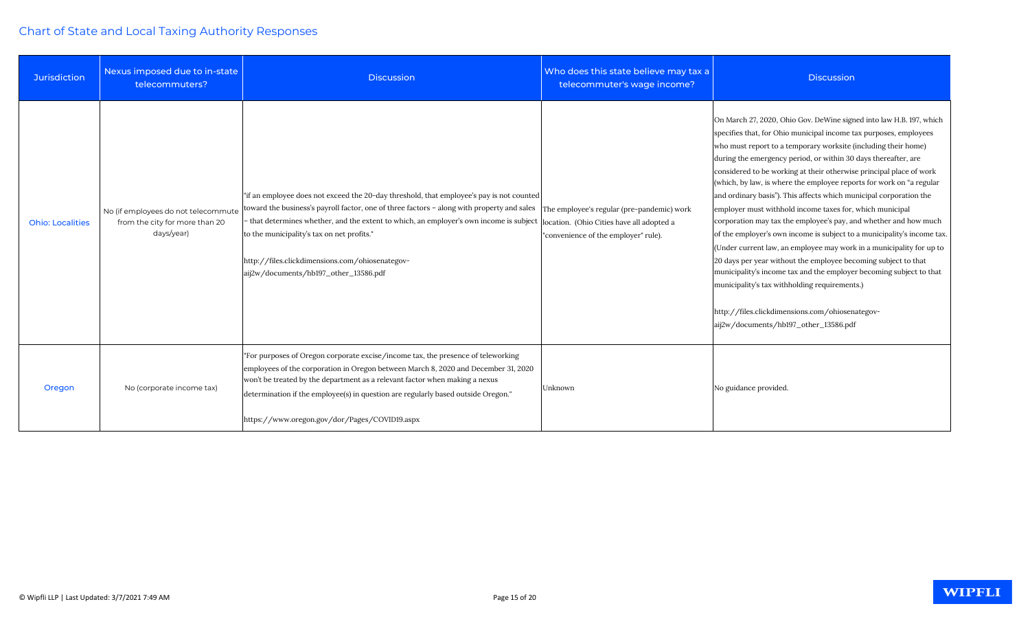| <b>Jurisdiction</b>     | Nexus imposed due to in-state<br>telecommuters?                                     | <b>Discussion</b>                                                                                                                                                                                                                                                                                                                                                                                                                                                    | Who does this state believe may tax a<br>telecommuter's wage income?               | <b>Discussion</b>                                                                                                                                                                                                                                                                                                                                                                                                                                                                                                                                                                                                                                                                                                                                                                                                                                                                                                                                                                                                                                                          |
|-------------------------|-------------------------------------------------------------------------------------|----------------------------------------------------------------------------------------------------------------------------------------------------------------------------------------------------------------------------------------------------------------------------------------------------------------------------------------------------------------------------------------------------------------------------------------------------------------------|------------------------------------------------------------------------------------|----------------------------------------------------------------------------------------------------------------------------------------------------------------------------------------------------------------------------------------------------------------------------------------------------------------------------------------------------------------------------------------------------------------------------------------------------------------------------------------------------------------------------------------------------------------------------------------------------------------------------------------------------------------------------------------------------------------------------------------------------------------------------------------------------------------------------------------------------------------------------------------------------------------------------------------------------------------------------------------------------------------------------------------------------------------------------|
| <b>Ohio: Localities</b> | No (if employees do not telecommute<br>from the city for more than 20<br>days/year) | "if an employee does not exceed the 20-day threshold, that employee's pay is not counted<br>toward the business's payroll factor, one of three factors - along with property and sales<br>that determines whether, and the extent to which, an employer's own income is subject  location. (Ohio Cities have all adopted a<br>to the municipality's tax on net profits."<br>http://files.clickdimensions.com/ohiosenategov-<br>aij2w/documents/hb197_other_13586.pdf | The employee's regular (pre-pandemic) work<br>"convenience of the employer" rule). | On March 27, 2020, Ohio Gov. DeWine signed into law H.B. 197, which<br>specifies that, for Ohio municipal income tax purposes, employees<br>who must report to a temporary worksite (including their home)<br>during the emergency period, or within 30 days thereafter, are<br>considered to be working at their otherwise principal place of work<br>(which, by law, is where the employee reports for work on "a regular<br>and ordinary basis"). This affects which municipal corporation the<br>employer must withhold income taxes for, which municipal<br>corporation may tax the employee's pay, and whether and how much<br>of the employer's own income is subject to a municipality's income tax.<br>(Under current law, an employee may work in a municipality for up to<br>20 days per year without the employee becoming subject to that<br>municipality's income tax and the employer becoming subject to that<br>municipality's tax withholding requirements.)<br>http://files.clickdimensions.com/ohiosenategov-<br>aij2w/documents/hb197_other_13586.pdf |
| Oregon                  | No (corporate income tax)                                                           | "For purposes of Oregon corporate excise/income tax, the presence of teleworking<br>employees of the corporation in Oregon between March 8, 2020 and December 31, 2020<br>won't be treated by the department as a relevant factor when making a nexus<br>determination if the employee(s) in question are regularly based outside Oregon."<br>https://www.oregon.gov/dor/Pages/COVID19.aspx                                                                          | Unknown                                                                            | No guidance provided.                                                                                                                                                                                                                                                                                                                                                                                                                                                                                                                                                                                                                                                                                                                                                                                                                                                                                                                                                                                                                                                      |

#### WIPFLI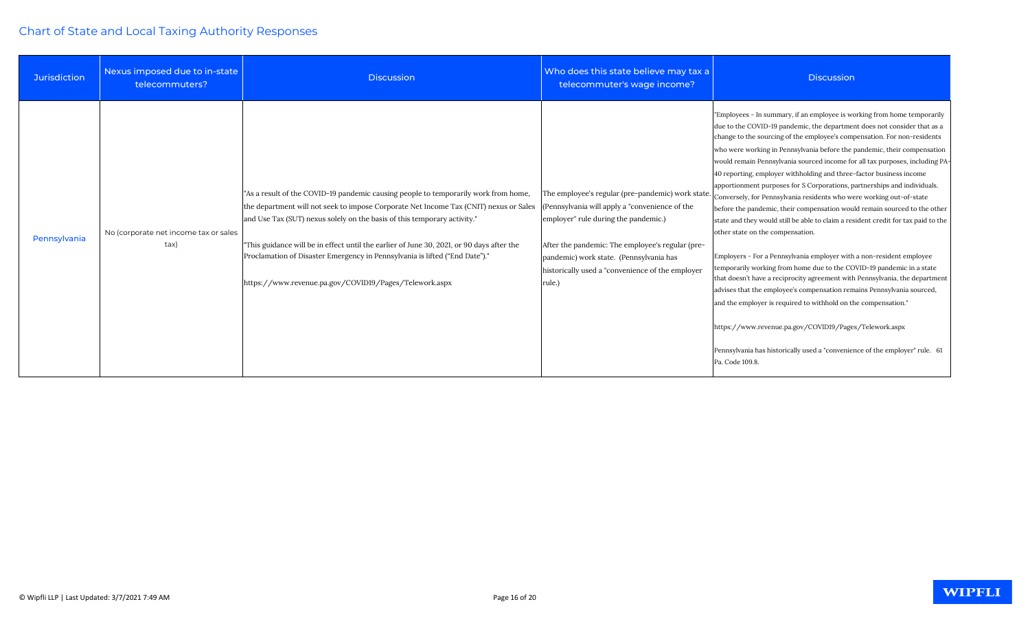| <b>Jurisdiction</b> | Nexus imposed due to in-state<br>telecommuters? | <b>Discussion</b>                                                                                                                                                                                                                                                                                                                                                                                                                                                                              | Who does this state believe may tax a<br>telecommuter's wage income?                                                                                                                                                                                                                                    | <b>Discussion</b>                                                                                                                                                                                                                                                                                                                                                                                                                                                                                                                                                                                                                                                                                                                                                                                                                                                                                                                                                                                                                                                                                                                                                                                                                                                                                                                                                     |
|---------------------|-------------------------------------------------|------------------------------------------------------------------------------------------------------------------------------------------------------------------------------------------------------------------------------------------------------------------------------------------------------------------------------------------------------------------------------------------------------------------------------------------------------------------------------------------------|---------------------------------------------------------------------------------------------------------------------------------------------------------------------------------------------------------------------------------------------------------------------------------------------------------|-----------------------------------------------------------------------------------------------------------------------------------------------------------------------------------------------------------------------------------------------------------------------------------------------------------------------------------------------------------------------------------------------------------------------------------------------------------------------------------------------------------------------------------------------------------------------------------------------------------------------------------------------------------------------------------------------------------------------------------------------------------------------------------------------------------------------------------------------------------------------------------------------------------------------------------------------------------------------------------------------------------------------------------------------------------------------------------------------------------------------------------------------------------------------------------------------------------------------------------------------------------------------------------------------------------------------------------------------------------------------|
| Pennsylvania        | No (corporate net income tax or sales<br>tax)   | "As a result of the COVID-19 pandemic causing people to temporarily work from home,<br>the department will not seek to impose Corporate Net Income Tax (CNIT) nexus or Sales<br>and Use Tax (SUT) nexus solely on the basis of this temporary activity."<br>"This guidance will be in effect until the earlier of June 30, 2021, or 90 days after the<br>Proclamation of Disaster Emergency in Pennsylvania is lifted ("End Date")."<br>https://www.revenue.pa.gov/COVID19/Pages/Telework.aspx | The employee's regular (pre-pandemic) work state<br>(Pennsylvania will apply a "convenience of the<br>employer" rule during the pandemic.)<br>After the pandemic: The employee's regular (pre-<br>pandemic) work state. (Pennsylvania has<br>historically used a "convenience of the employer<br>rule.) | "Employees - In summary, if an employee is working from home temporarily<br>due to the COVID-19 pandemic, the department does not consider that as a<br>change to the sourcing of the employee's compensation. For non-residents<br>who were working in Pennsylvania before the pandemic, their compensation<br>would remain Pennsylvania sourced income for all tax purposes, including PA-<br>40 reporting, employer withholding and three-factor business income<br>apportionment purposes for S Corporations, partnerships and individuals.<br>Conversely, for Pennsylvania residents who were working out-of-state<br>before the pandemic, their compensation would remain sourced to the other<br>state and they would still be able to claim a resident credit for tax paid to the<br>other state on the compensation.<br>Employers - For a Pennsylvania employer with a non-resident employee<br>temporarily working from home due to the COVID-19 pandemic in a state<br>that doesn't have a reciprocity agreement with Pennsylvania, the department<br>advises that the employee's compensation remains Pennsylvania sourced,<br>and the employer is required to withhold on the compensation."<br>https://www.revenue.pa.gov/COVID19/Pages/Telework.aspx<br>Pennsylvania has historically used a "convenience of the employer" rule. 61<br>Pa. Code 109.8. |

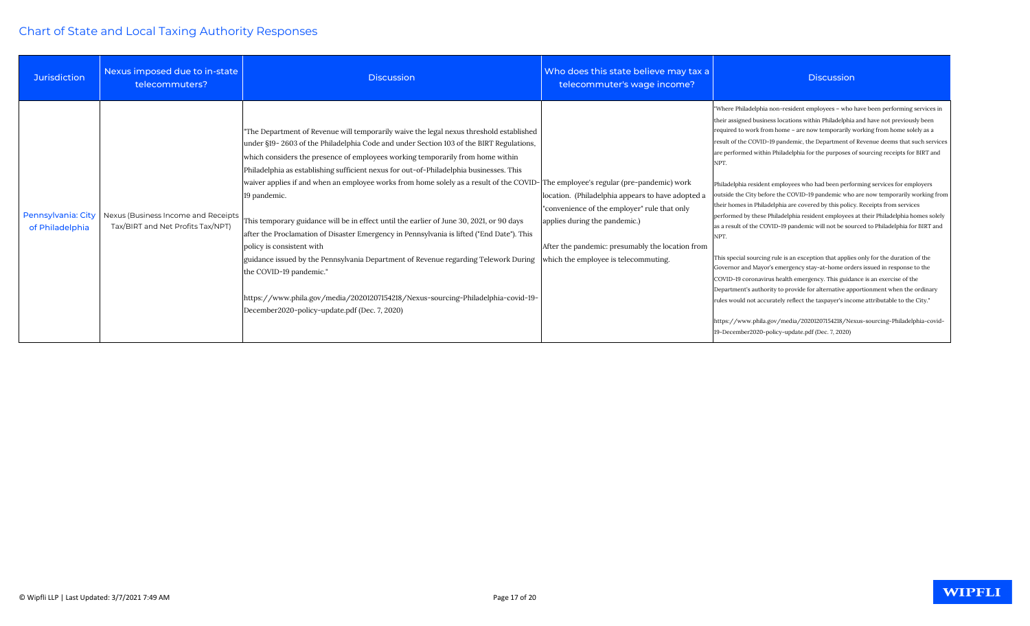| <b>Jurisdiction</b>                   | Nexus imposed due to in-state<br>telecommuters?                          | <b>Discussion</b>                                                                                                                                                                                                                                                                                                                                                                                                                                                                                                                                                                                                                                                                                                                                                                                                                                                                                                                                                                               | Who does this state believe may tax a<br>telecommuter's wage income?                                                                                                                                                           | <b>Discussion</b>                                                                                                                                                                                                                                                                                                                                                                                                                                                                                                                                                                                                                                                                                                                                                                                                                                                                                                                                                                                                                                                                                                                                                                                                                                                                                                                                                                                                                                                           |
|---------------------------------------|--------------------------------------------------------------------------|-------------------------------------------------------------------------------------------------------------------------------------------------------------------------------------------------------------------------------------------------------------------------------------------------------------------------------------------------------------------------------------------------------------------------------------------------------------------------------------------------------------------------------------------------------------------------------------------------------------------------------------------------------------------------------------------------------------------------------------------------------------------------------------------------------------------------------------------------------------------------------------------------------------------------------------------------------------------------------------------------|--------------------------------------------------------------------------------------------------------------------------------------------------------------------------------------------------------------------------------|-----------------------------------------------------------------------------------------------------------------------------------------------------------------------------------------------------------------------------------------------------------------------------------------------------------------------------------------------------------------------------------------------------------------------------------------------------------------------------------------------------------------------------------------------------------------------------------------------------------------------------------------------------------------------------------------------------------------------------------------------------------------------------------------------------------------------------------------------------------------------------------------------------------------------------------------------------------------------------------------------------------------------------------------------------------------------------------------------------------------------------------------------------------------------------------------------------------------------------------------------------------------------------------------------------------------------------------------------------------------------------------------------------------------------------------------------------------------------------|
| Pennsylvania: City<br>of Philadelphia | Nexus (Business Income and Receipts<br>Tax/BIRT and Net Profits Tax/NPT) | "The Department of Revenue will temporarily waive the legal nexus threshold established<br>under §19-2603 of the Philadelphia Code and under Section 103 of the BIRT Regulations,<br>which considers the presence of employees working temporarily from home within<br>Philadelphia as establishing sufficient nexus for out-of-Philadelphia businesses. This<br>waiver applies if and when an employee works from home solely as a result of the COVID-The employee's regular (pre-pandemic) work<br>19 pandemic.<br>This temporary guidance will be in effect until the earlier of June 30, 2021, or 90 days<br>after the Proclamation of Disaster Emergency in Pennsylvania is lifted ("End Date"). This<br>policy is consistent with<br>guidance issued by the Pennsylvania Department of Revenue regarding Telework During<br>the COVID-19 pandemic."<br>https://www.phila.gov/media/20201207154218/Nexus-sourcing-Philadelphia-covid-19-<br>December2020-policy-update.pdf (Dec. 7, 2020) | location. (Philadelphia appears to have adopted a<br>"convenience of the employer" rule that only<br>applies during the pandemic.)<br>After the pandemic: presumably the location from<br>which the employee is telecommuting. | "Where Philadelphia non-resident employees - who have been performing services in<br>their assigned business locations within Philadelphia and have not previously been<br>required to work from home - are now temporarily working from home solely as a<br>result of the COVID-19 pandemic, the Department of Revenue deems that such services<br>are performed within Philadelphia for the purposes of sourcing receipts for BIRT and<br>NPT.<br>Philadelphia resident employees who had been performing services for employers<br>butside the City before the COVID-19 pandemic who are now temporarily working from<br>their homes in Philadelphia are covered by this policy. Receipts from services<br>performed by these Philadelphia resident employees at their Philadelphia homes solely<br>as a result of the COVID-19 pandemic will not be sourced to Philadelphia for BIRT and<br>NPT.<br>This special sourcing rule is an exception that applies only for the duration of the<br>Governor and Mayor's emergency stay-at-home orders issued in response to the<br>COVID-19 coronavirus health emergency. This guidance is an exercise of the<br>Department's authority to provide for alternative apportionment when the ordinary<br>rules would not accurately reflect the taxpayer's income attributable to the City."<br>https://www.phila.gov/media/20201207154218/Nexus-sourcing-Philadelphia-covid-<br>19-December2020-policy-update.pdf (Dec. 7, 2020) |

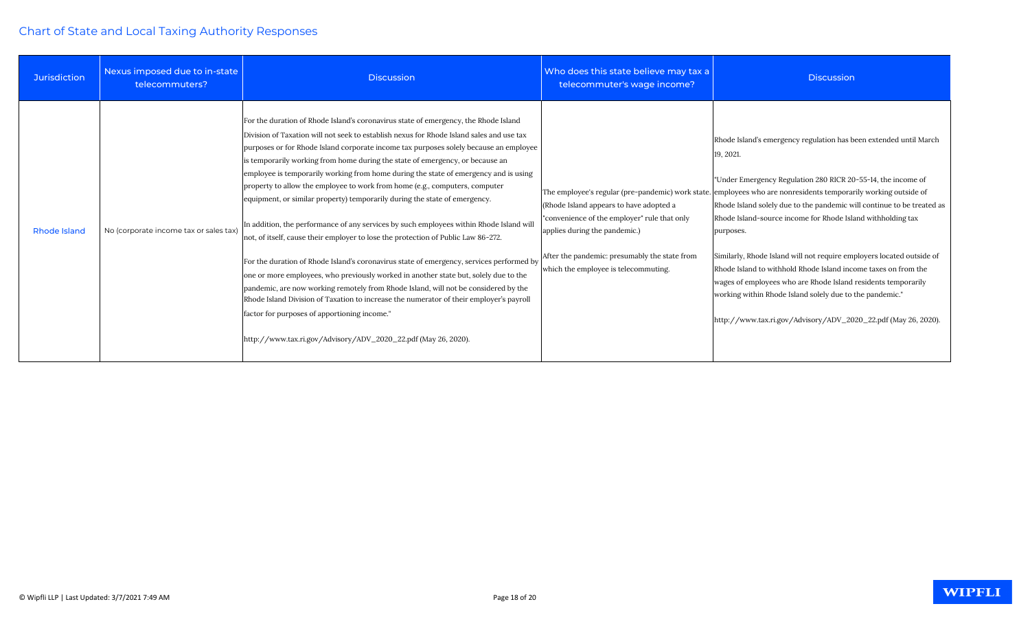| <b>Jurisdiction</b> | Nexus imposed due to in-state<br>telecommuters? | <b>Discussion</b>                                                                                                                                                                                                                                                                                                                                                                                                                                                                                                                                                                                                                                                                                                                                                                                                                                                                                                                                                                                                                                                                                                                                                                                                                                                                      | Who does this state believe may tax a<br>telecommuter's wage income?                                                                                                                                              | <b>Discussion</b>                                                                                                                                                                                                                                                                                                                                                                                                                                                                                                                                                                                                                                                                                                                                                 |
|---------------------|-------------------------------------------------|----------------------------------------------------------------------------------------------------------------------------------------------------------------------------------------------------------------------------------------------------------------------------------------------------------------------------------------------------------------------------------------------------------------------------------------------------------------------------------------------------------------------------------------------------------------------------------------------------------------------------------------------------------------------------------------------------------------------------------------------------------------------------------------------------------------------------------------------------------------------------------------------------------------------------------------------------------------------------------------------------------------------------------------------------------------------------------------------------------------------------------------------------------------------------------------------------------------------------------------------------------------------------------------|-------------------------------------------------------------------------------------------------------------------------------------------------------------------------------------------------------------------|-------------------------------------------------------------------------------------------------------------------------------------------------------------------------------------------------------------------------------------------------------------------------------------------------------------------------------------------------------------------------------------------------------------------------------------------------------------------------------------------------------------------------------------------------------------------------------------------------------------------------------------------------------------------------------------------------------------------------------------------------------------------|
| <b>Rhode Island</b> | No (corporate income tax or sales tax)          | For the duration of Rhode Island's coronavirus state of emergency, the Rhode Island<br>Division of Taxation will not seek to establish nexus for Rhode Island sales and use tax<br>purposes or for Rhode Island corporate income tax purposes solely because an employee<br>is temporarily working from home during the state of emergency, or because an<br>employee is temporarily working from home during the state of emergency and is using<br>property to allow the employee to work from home (e.g., computers, computer<br>equipment, or similar property) temporarily during the state of emergency.<br>In addition, the performance of any services by such employees within Rhode Island will<br>not, of itself, cause their employer to lose the protection of Public Law 86-272.<br>For the duration of Rhode Island's coronavirus state of emergency, services performed by<br>one or more employees, who previously worked in another state but, solely due to the<br>pandemic, are now working remotely from Rhode Island, will not be considered by the<br>Rhode Island Division of Taxation to increase the numerator of their employer's payroll<br>factor for purposes of apportioning income."<br>http://www.tax.ri.gov/Advisory/ADV_2020_22.pdf (May 26, 2020). | (Rhode Island appears to have adopted a<br>"convenience of the employer" rule that only<br>applies during the pandemic.)<br>After the pandemic: presumably the state from<br>which the employee is telecommuting. | Rhode Island's emergency regulation has been extended until March<br>19, 2021.<br>"Under Emergency Regulation 280 RICR 20-55-14, the income of<br>The employee's regular (pre-pandemic) work state. employees who are nonresidents temporarily working outside of<br>Rhode Island solely due to the pandemic will continue to be treated as<br>Rhode Island-source income for Rhode Island withholding tax<br>purposes.<br>Similarly, Rhode Island will not require employers located outside of<br>Rhode Island to withhold Rhode Island income taxes on from the<br>wages of employees who are Rhode Island residents temporarily<br>working within Rhode Island solely due to the pandemic."<br>http://www.tax.ri.gov/Advisory/ADV_2020_22.pdf (May 26, 2020). |

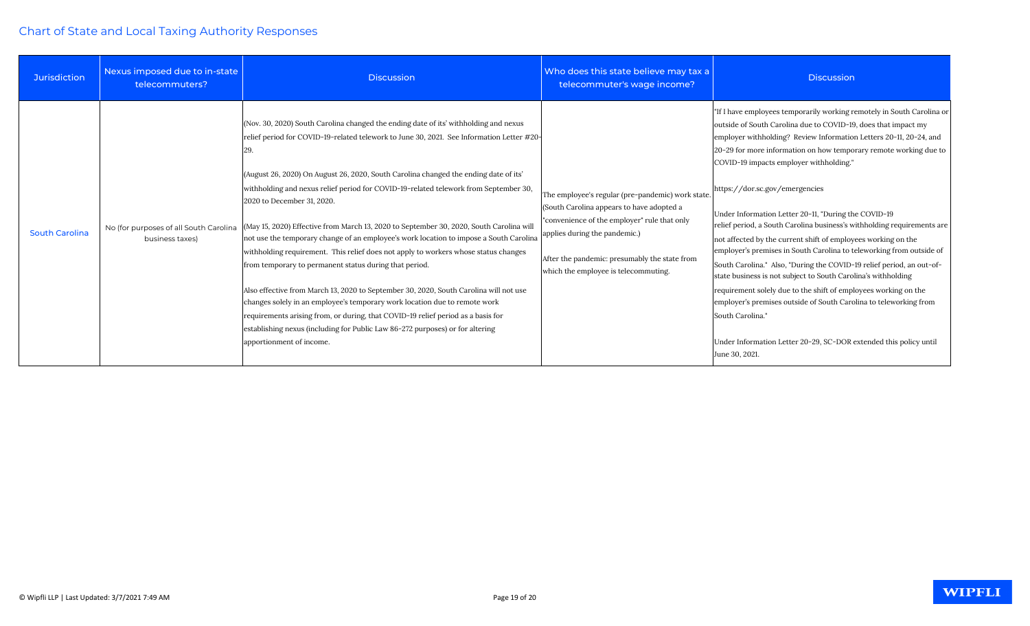| <b>Jurisdiction</b>   | Nexus imposed due to in-state<br>telecommuters? | <b>Discussion</b>                                                                                                                                                                                                                                                                                                                                                                                                                                                                                                                                                                                                                                                                                                                                                                                                                                                                                                                                                                                                                                                                                                                                           | Who does this state believe may tax a<br>telecommuter's wage income?                                                                                                                                                                                                    | <b>Discussion</b>                                                                                                                                                                                                                                                                                                                                                                                                                                                                                                                                                                                                                                                                                                                                                                                                                                                                                                                                                                                                                         |
|-----------------------|-------------------------------------------------|-------------------------------------------------------------------------------------------------------------------------------------------------------------------------------------------------------------------------------------------------------------------------------------------------------------------------------------------------------------------------------------------------------------------------------------------------------------------------------------------------------------------------------------------------------------------------------------------------------------------------------------------------------------------------------------------------------------------------------------------------------------------------------------------------------------------------------------------------------------------------------------------------------------------------------------------------------------------------------------------------------------------------------------------------------------------------------------------------------------------------------------------------------------|-------------------------------------------------------------------------------------------------------------------------------------------------------------------------------------------------------------------------------------------------------------------------|-------------------------------------------------------------------------------------------------------------------------------------------------------------------------------------------------------------------------------------------------------------------------------------------------------------------------------------------------------------------------------------------------------------------------------------------------------------------------------------------------------------------------------------------------------------------------------------------------------------------------------------------------------------------------------------------------------------------------------------------------------------------------------------------------------------------------------------------------------------------------------------------------------------------------------------------------------------------------------------------------------------------------------------------|
| <b>South Carolina</b> | business taxes)                                 | (Nov. 30, 2020) South Carolina changed the ending date of its' withholding and nexus<br>relief period for COVID-19-related telework to June 30, 2021. See Information Letter #20-<br>29.<br>(August 26, 2020) On August 26, 2020, South Carolina changed the ending date of its'<br>withholding and nexus relief period for COVID-19-related telework from September 30,<br>2020 to December 31, 2020.<br>No (for purposes of all South Carolina (May 15, 2020) Effective from March 13, 2020 to September 30, 2020, South Carolina will<br>not use the temporary change of an employee's work location to impose a South Carolina<br>withholding requirement. This relief does not apply to workers whose status changes<br>from temporary to permanent status during that period.<br>Also effective from March 13, 2020 to September 30, 2020, South Carolina will not use<br>changes solely in an employee's temporary work location due to remote work<br>requirements arising from, or during, that COVID-19 relief period as a basis for<br>establishing nexus (including for Public Law 86-272 purposes) or for altering<br>apportionment of income. | The employee's regular (pre-pandemic) work state<br>(South Carolina appears to have adopted a<br>"convenience of the employer" rule that only<br>applies during the pandemic.)<br>After the pandemic: presumably the state from<br>which the employee is telecommuting. | "If I have employees temporarily working remotely in South Carolina or<br>outside of South Carolina due to COVID-19, does that impact my<br>employer withholding? Review Information Letters 20-11, 20-24, and<br>20-29 for more information on how temporary remote working due to<br>COVID-19 impacts employer withholding."<br>https://dor.sc.gov/emergencies<br>Under Information Letter 20-11, "During the COVID-19<br>relief period, a South Carolina business's withholding requirements are<br>not affected by the current shift of employees working on the<br>employer's premises in South Carolina to teleworking from outside of<br>South Carolina." Also, "During the COVID-19 relief period, an out-of-<br>state business is not subject to South Carolina's withholding<br>requirement solely due to the shift of employees working on the<br>employer's premises outside of South Carolina to teleworking from<br>South Carolina."<br>Under Information Letter 20-29, SC-DOR extended this policy until<br>June 30, 2021. |